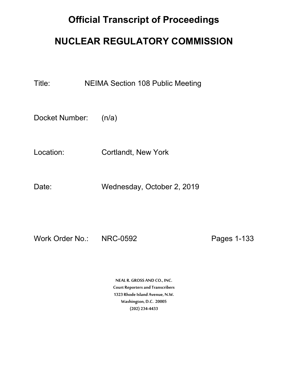## **Official Transcript of Proceedings**

## **NUCLEAR REGULATORY COMMISSION**

Title: NEIMA Section 108 Public Meeting

Docket Number: (n/a)

Location: Cortlandt, New York

Date: Wednesday, October 2, 2019

Work Order No.: NRC-0592 Pages 1-133

**NEAL R. GROSS AND CO., INC. Court Reporters and Transcribers 1323 Rhode Island Avenue, N.W. Washington, D.C. 20005 (202) 234-4433**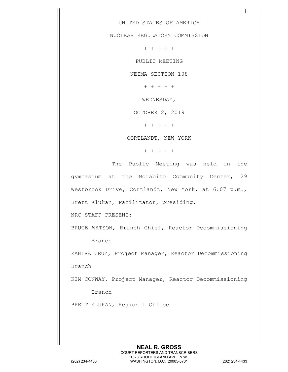1

## UNITED STATES OF AMERICA

NUCLEAR REGULATORY COMMISSION

+ + + + +

PUBLIC MEETING

NEIMA SECTION 108

+ + + + +

WEDNESDAY,

OCTOBER 2, 2019

+ + + + +

CORTLANDT, NEW YORK

+ + + + +

The Public Meeting was held in the gymnasium at the Morabito Community Center, 29 Westbrook Drive, Cortlandt, New York, at 6:07 p.m., Brett Klukan, Facilitator, presiding.

NRC STAFF PRESENT:

BRUCE WATSON, Branch Chief, Reactor Decommissioning Branch

ZAHIRA CRUZ, Project Manager, Reactor Decommissioning Branch

KIM CONWAY, Project Manager, Reactor Decommissioning

Branch

BRETT KLUKAN, Region I Office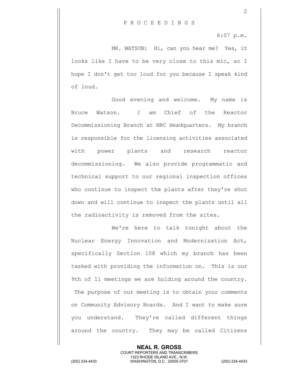6:07 p.m.

2

MR. WATSON: Hi, can you hear me? Yes, it looks like I have to be very close to this mic, so I hope I don't get too loud for you because I speak kind of loud.

Good evening and welcome. My name is Bruce Watson. I am Chief of the Reactor Decommissioning Branch at NRC Headquarters. My branch is responsible for the licensing activities associated with power plants and research reactor decommissioning. We also provide programmatic and technical support to our regional inspection offices who continue to inspect the plants after they're shut down and will continue to inspect the plants until all the radioactivity is removed from the sites.

We're here to talk tonight about the Nuclear Energy Innovation and Modernization Act, specifically Section 108 which my branch has been tasked with providing the information on. This is our 9th of 11 meetings we are holding around the country. The purpose of our meeting is to obtain your comments on Community Advisory Boards. And I want to make sure you understand. They're called different things around the country. They may be called Citizens

> **NEAL R. GROSS** COURT REPORTERS AND TRANSCRIBERS 1323 RHODE ISLAND AVE., N.W.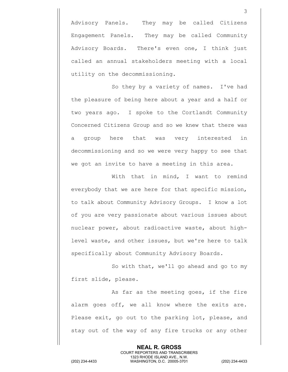Advisory Panels. They may be called Citizens Engagement Panels. They may be called Community Advisory Boards. There's even one, I think just called an annual stakeholders meeting with a local utility on the decommissioning.

So they by a variety of names. I've had the pleasure of being here about a year and a half or two years ago. I spoke to the Cortlandt Community Concerned Citizens Group and so we knew that there was a group here that was very interested in decommissioning and so we were very happy to see that we got an invite to have a meeting in this area.

With that in mind, I want to remind everybody that we are here for that specific mission, to talk about Community Advisory Groups. I know a lot of you are very passionate about various issues about nuclear power, about radioactive waste, about highlevel waste, and other issues, but we're here to talk specifically about Community Advisory Boards.

So with that, we'll go ahead and go to my first slide, please.

As far as the meeting goes, if the fire alarm goes off, we all know where the exits are. Please exit, go out to the parking lot, please, and stay out of the way of any fire trucks or any other

> **NEAL R. GROSS** COURT REPORTERS AND TRANSCRIBERS 1323 RHODE ISLAND AVE., N.W.

(202) 234-4433 WASHINGTON, D.C. 20005-3701 (202) 234-4433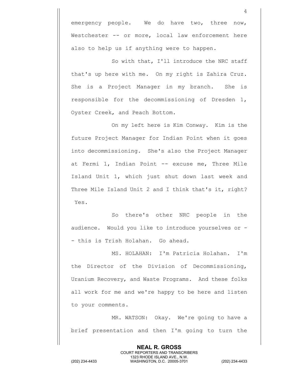emergency people. We do have two, three now, Westchester -- or more, local law enforcement here also to help us if anything were to happen.

So with that, I'll introduce the NRC staff that's up here with me. On my right is Zahira Cruz. She is a Project Manager in my branch. She is responsible for the decommissioning of Dresden 1, Oyster Creek, and Peach Bottom.

On my left here is Kim Conway. Kim is the future Project Manager for Indian Point when it goes into decommissioning. She's also the Project Manager at Fermi 1, Indian Point -- excuse me, Three Mile Island Unit 1, which just shut down last week and Three Mile Island Unit 2 and I think that's it, right? Yes.

So there's other NRC people in the audience. Would you like to introduce yourselves or - - this is Trish Holahan. Go ahead.

MS. HOLAHAN: I'm Patricia Holahan. I'm the Director of the Division of Decommissioning, Uranium Recovery, and Waste Programs. And these folks all work for me and we're happy to be here and listen to your comments.

MR. WATSON: Okay. We're going to have a brief presentation and then I'm going to turn the

> **NEAL R. GROSS** COURT REPORTERS AND TRANSCRIBERS 1323 RHODE ISLAND AVE., N.W.

(202) 234-4433 WASHINGTON, D.C. 20005-3701 (202) 234-4433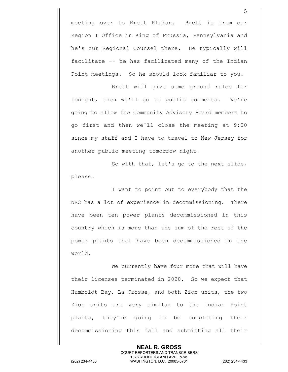meeting over to Brett Klukan. Brett is from our Region I Office in King of Prussia, Pennsylvania and he's our Regional Counsel there. He typically will facilitate -- he has facilitated many of the Indian Point meetings. So he should look familiar to you.

Brett will give some ground rules for tonight, then we'll go to public comments. We're going to allow the Community Advisory Board members to go first and then we'll close the meeting at 9:00 since my staff and I have to travel to New Jersey for another public meeting tomorrow night.

So with that, let's go to the next slide, please.

I want to point out to everybody that the NRC has a lot of experience in decommissioning. There have been ten power plants decommissioned in this country which is more than the sum of the rest of the power plants that have been decommissioned in the world.

We currently have four more that will have their licenses terminated in 2020. So we expect that Humboldt Bay, La Crosse, and both Zion units, the two Zion units are very similar to the Indian Point plants, they're going to be completing their decommissioning this fall and submitting all their

> **NEAL R. GROSS** COURT REPORTERS AND TRANSCRIBERS 1323 RHODE ISLAND AVE., N.W.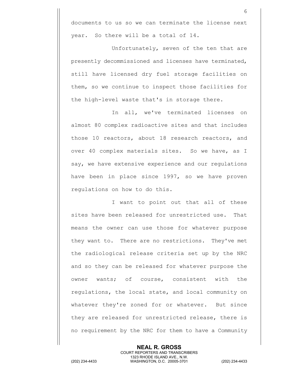documents to us so we can terminate the license next year. So there will be a total of 14.

Unfortunately, seven of the ten that are presently decommissioned and licenses have terminated, still have licensed dry fuel storage facilities on them, so we continue to inspect those facilities for the high-level waste that's in storage there.

In all, we've terminated licenses on almost 80 complex radioactive sites and that includes those 10 reactors, about 18 research reactors, and over 40 complex materials sites. So we have, as I say, we have extensive experience and our regulations have been in place since 1997, so we have proven regulations on how to do this.

I want to point out that all of these sites have been released for unrestricted use. That means the owner can use those for whatever purpose they want to. There are no restrictions. They've met the radiological release criteria set up by the NRC and so they can be released for whatever purpose the owner wants; of course, consistent with the regulations, the local state, and local community on whatever they're zoned for or whatever. But since they are released for unrestricted release, there is no requirement by the NRC for them to have a Community

**NEAL R. GROSS** COURT REPORTERS AND TRANSCRIBERS 1323 RHODE ISLAND AVE., N.W. (202) 234-4433 WASHINGTON, D.C. 20005-3701 (202) 234-4433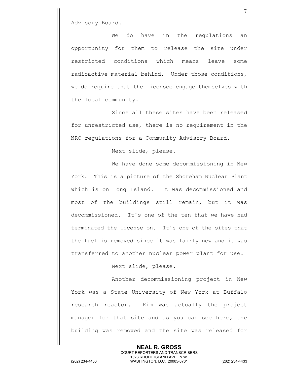Advisory Board.

We do have in the regulations an opportunity for them to release the site under restricted conditions which means leave some radioactive material behind. Under those conditions, we do require that the licensee engage themselves with the local community.

 Since all these sites have been released for unrestricted use, there is no requirement in the NRC regulations for a Community Advisory Board.

Next slide, please.

We have done some decommissioning in New York. This is a picture of the Shoreham Nuclear Plant which is on Long Island. It was decommissioned and most of the buildings still remain, but it was decommissioned. It's one of the ten that we have had terminated the license on. It's one of the sites that the fuel is removed since it was fairly new and it was transferred to another nuclear power plant for use.

Next slide, please.

Another decommissioning project in New York was a State University of New York at Buffalo research reactor. Kim was actually the project manager for that site and as you can see here, the building was removed and the site was released for

> **NEAL R. GROSS** COURT REPORTERS AND TRANSCRIBERS 1323 RHODE ISLAND AVE., N.W.

(202) 234-4433 WASHINGTON, D.C. 20005-3701 (202) 234-4433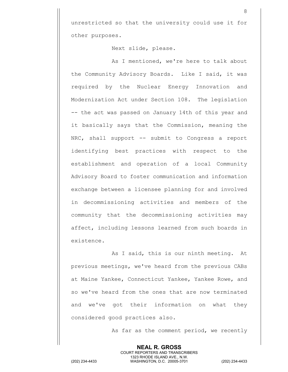unrestricted so that the university could use it for other purposes.

Next slide, please.

As I mentioned, we're here to talk about the Community Advisory Boards. Like I said, it was required by the Nuclear Energy Innovation and Modernization Act under Section 108. The legislation -- the act was passed on January 14th of this year and it basically says that the Commission, meaning the NRC, shall support -- submit to Congress a report identifying best practices with respect to the establishment and operation of a local Community Advisory Board to foster communication and information exchange between a licensee planning for and involved in decommissioning activities and members of the community that the decommissioning activities may affect, including lessons learned from such boards in existence.

As I said, this is our ninth meeting. At previous meetings, we've heard from the previous CABs at Maine Yankee, Connecticut Yankee, Yankee Rowe, and so we've heard from the ones that are now terminated and we've got their information on what they considered good practices also.

As far as the comment period, we recently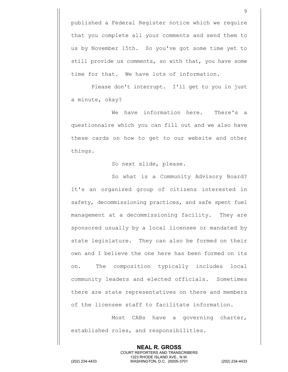published a Federal Register notice which we require that you complete all your comments and send them to us by November 15th. So you've got some time yet to still provide us comments, so with that, you have some time for that. We have lots of information.

Please don't interrupt. I'll get to you in just a minute, okay?

We have information here. There's a questionnaire which you can fill out and we also have these cards on how to get to our website and other things.

So next slide, please.

So what is a Community Advisory Board? It's an organized group of citizens interested in safety, decommissioning practices, and safe spent fuel management at a decommissioning facility. They are sponsored usually by a local licensee or mandated by state legislature. They can also be formed on their own and I believe the one here has been formed on its on. The composition typically includes local community leaders and elected officials. Sometimes there are state representatives on there and members of the licensee staff to facilitate information.

Most CABs have a governing charter, established roles, and responsibilities.

> **NEAL R. GROSS** COURT REPORTERS AND TRANSCRIBERS 1323 RHODE ISLAND AVE., N.W.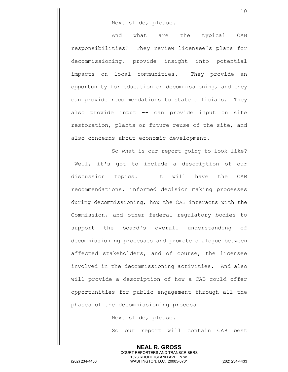## Next slide, please.

And what are the typical CAB responsibilities? They review licensee's plans for decommissioning, provide insight into potential impacts on local communities. They provide an opportunity for education on decommissioning, and they can provide recommendations to state officials. They also provide input -- can provide input on site restoration, plants or future reuse of the site, and also concerns about economic development.

So what is our report going to look like? Well, it's got to include a description of our discussion topics. It will have the CAB recommendations, informed decision making processes during decommissioning, how the CAB interacts with the Commission, and other federal regulatory bodies to support the board's overall understanding of decommissioning processes and promote dialogue between affected stakeholders, and of course, the licensee involved in the decommissioning activities. And also will provide a description of how a CAB could offer opportunities for public engagement through all the phases of the decommissioning process.

Next slide, please.

So our report will contain CAB best

**NEAL R. GROSS** COURT REPORTERS AND TRANSCRIBERS 1323 RHODE ISLAND AVE., N.W. (202) 234-4433 WASHINGTON, D.C. 20005-3701 (202) 234-4433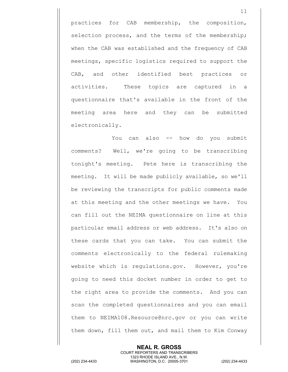practices for CAB membership, the composition, selection process, and the terms of the membership; when the CAB was established and the frequency of CAB meetings, specific logistics required to support the CAB, and other identified best practices or activities. These topics are captured in a questionnaire that's available in the front of the meeting area here and they can be submitted electronically.

You can also -- how do you submit comments? Well, we're going to be transcribing tonight's meeting. Pete here is transcribing the meeting. It will be made publicly available, so we'll be reviewing the transcripts for public comments made at this meeting and the other meetings we have. You can fill out the NEIMA questionnaire on line at this particular email address or web address. It's also on these cards that you can take. You can submit the comments electronically to the federal rulemaking website which is regulations.gov. However, you're going to need this docket number in order to get to the right area to provide the comments. And you can scan the completed questionnaires and you can email them to NEIMA108.Resource@nrc.gov or you can write them down, fill them out, and mail them to Kim Conway

**NEAL R. GROSS** COURT REPORTERS AND TRANSCRIBERS 1323 RHODE ISLAND AVE., N.W. (202) 234-4433 WASHINGTON, D.C. 20005-3701 (202) 234-4433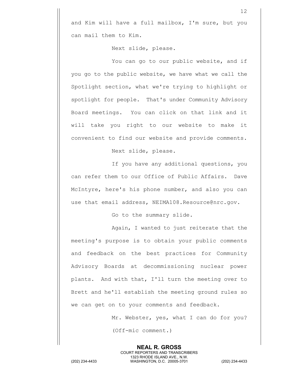and Kim will have a full mailbox, I'm sure, but you can mail them to Kim.

Next slide, please.

You can go to our public website, and if you go to the public website, we have what we call the Spotlight section, what we're trying to highlight or spotlight for people. That's under Community Advisory Board meetings. You can click on that link and it will take you right to our website to make it convenient to find our website and provide comments.

Next slide, please.

If you have any additional questions, you can refer them to our Office of Public Affairs. Dave McIntyre, here's his phone number, and also you can use that email address, NEIMA108.Resource@nrc.gov.

Go to the summary slide.

Again, I wanted to just reiterate that the meeting's purpose is to obtain your public comments and feedback on the best practices for Community Advisory Boards at decommissioning nuclear power plants. And with that, I'll turn the meeting over to Brett and he'll establish the meeting ground rules so we can get on to your comments and feedback.

> **NEAL R. GROSS** COURT REPORTERS AND TRANSCRIBERS 1323 RHODE ISLAND AVE., N.W.

Mr. Webster, yes, what I can do for you?

(Off-mic comment.)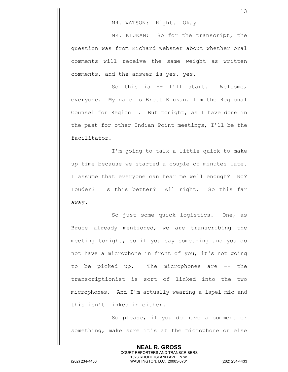MR. WATSON: Right. Okay.

MR. KLUKAN: So for the transcript, the question was from Richard Webster about whether oral comments will receive the same weight as written comments, and the answer is yes, yes.

So this is -- I'll start. Welcome, everyone. My name is Brett Klukan. I'm the Regional Counsel for Region I. But tonight, as I have done in the past for other Indian Point meetings, I'll be the facilitator.

I'm going to talk a little quick to make up time because we started a couple of minutes late. I assume that everyone can hear me well enough? No? Louder? Is this better? All right. So this far away.

So just some quick logistics. One, as Bruce already mentioned, we are transcribing the meeting tonight, so if you say something and you do not have a microphone in front of you, it's not going to be picked up. The microphones are -- the transcriptionist is sort of linked into the two microphones. And I'm actually wearing a lapel mic and this isn't linked in either.

So please, if you do have a comment or something, make sure it's at the microphone or else

> **NEAL R. GROSS** COURT REPORTERS AND TRANSCRIBERS 1323 RHODE ISLAND AVE., N.W.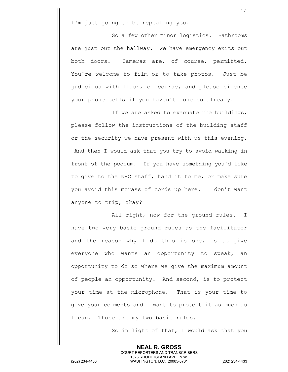I'm just going to be repeating you.

So a few other minor logistics. Bathrooms are just out the hallway. We have emergency exits out both doors. Cameras are, of course, permitted. You're welcome to film or to take photos. Just be judicious with flash, of course, and please silence your phone cells if you haven't done so already.

If we are asked to evacuate the buildings, please follow the instructions of the building staff or the security we have present with us this evening. And then I would ask that you try to avoid walking in front of the podium. If you have something you'd like to give to the NRC staff, hand it to me, or make sure you avoid this morass of cords up here. I don't want anyone to trip, okay?

All right, now for the ground rules. I have two very basic ground rules as the facilitator and the reason why I do this is one, is to give everyone who wants an opportunity to speak, an opportunity to do so where we give the maximum amount of people an opportunity. And second, is to protect your time at the microphone. That is your time to give your comments and I want to protect it as much as I can. Those are my two basic rules.

> **NEAL R. GROSS** COURT REPORTERS AND TRANSCRIBERS 1323 RHODE ISLAND AVE., N.W.

So in light of that, I would ask that you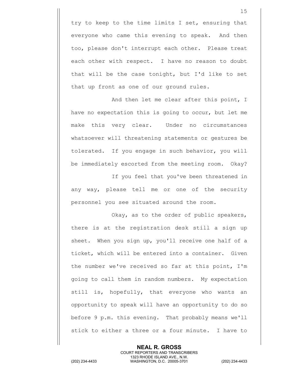try to keep to the time limits I set, ensuring that everyone who came this evening to speak. And then too, please don't interrupt each other. Please treat each other with respect. I have no reason to doubt that will be the case tonight, but I'd like to set that up front as one of our ground rules.

And then let me clear after this point, I have no expectation this is going to occur, but let me make this very clear. Under no circumstances whatsoever will threatening statements or gestures be tolerated. If you engage in such behavior, you will be immediately escorted from the meeting room. Okay?

If you feel that you've been threatened in any way, please tell me or one of the security personnel you see situated around the room.

Okay, as to the order of public speakers, there is at the registration desk still a sign up sheet. When you sign up, you'll receive one half of a ticket, which will be entered into a container. Given the number we've received so far at this point, I'm going to call them in random numbers. My expectation still is, hopefully, that everyone who wants an opportunity to speak will have an opportunity to do so before 9 p.m. this evening. That probably means we'll stick to either a three or a four minute. I have to

**NEAL R. GROSS** COURT REPORTERS AND TRANSCRIBERS 1323 RHODE ISLAND AVE., N.W. (202) 234-4433 WASHINGTON, D.C. 20005-3701 (202) 234-4433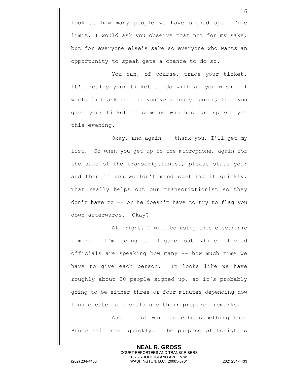look at how many people we have signed up. Time limit, I would ask you observe that not for my sake, but for everyone else's sake so everyone who wants an opportunity to speak gets a chance to do so.

You can, of course, trade your ticket. It's really your ticket to do with as you wish. I would just ask that if you've already spoken, that you give your ticket to someone who has not spoken yet this evening.

Okay, and again -- thank you, I'll get my list. So when you get up to the microphone, again for the sake of the transcriptionist, please state your and then if you wouldn't mind spelling it quickly. That really helps out our transcriptionist so they don't have to -- or he doesn't have to try to flag you down afterwards. Okay?

All right, I will be using this electronic timer. I'm going to figure out while elected officials are speaking how many -- how much time we have to give each person. It looks like we have roughly about 20 people signed up, so it's probably going to be either three or four minutes depending how long elected officials use their prepared remarks.

And I just want to echo something that Bruce said real quickly. The purpose of tonight's

> **NEAL R. GROSS** COURT REPORTERS AND TRANSCRIBERS 1323 RHODE ISLAND AVE., N.W.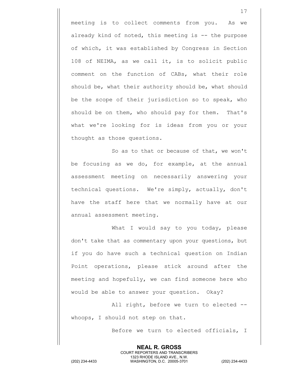meeting is to collect comments from you. As we already kind of noted, this meeting is -- the purpose of which, it was established by Congress in Section 108 of NEIMA, as we call it, is to solicit public comment on the function of CABs, what their role should be, what their authority should be, what should be the scope of their jurisdiction so to speak, who should be on them, who should pay for them. That's what we're looking for is ideas from you or your thought as those questions.

So as to that or because of that, we won't be focusing as we do, for example, at the annual assessment meeting on necessarily answering your technical questions. We're simply, actually, don't have the staff here that we normally have at our annual assessment meeting.

What I would say to you today, please don't take that as commentary upon your questions, but if you do have such a technical question on Indian Point operations, please stick around after the meeting and hopefully, we can find someone here who would be able to answer your question. Okay?

All right, before we turn to elected - whoops, I should not step on that.

Before we turn to elected officials, I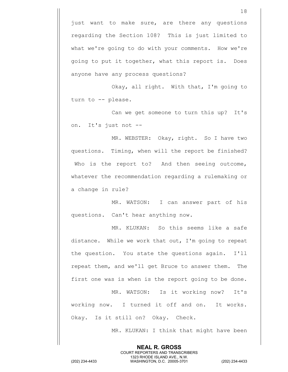just want to make sure, are there any questions regarding the Section 108? This is just limited to what we're going to do with your comments. How we're going to put it together, what this report is. Does anyone have any process questions?

Okay, all right. With that, I'm going to turn to -- please.

Can we get someone to turn this up? It's on. It's just not --

MR. WEBSTER: Okay, right. So I have two questions. Timing, when will the report be finished? Who is the report to? And then seeing outcome, whatever the recommendation regarding a rulemaking or a change in rule?

MR. WATSON: I can answer part of his questions. Can't hear anything now.

MR. KLUKAN: So this seems like a safe distance. While we work that out, I'm going to repeat the question. You state the questions again. I'll repeat them, and we'll get Bruce to answer them. The first one was is when is the report going to be done.

MR. WATSON: Is it working now? It's working now. I turned it off and on. It works. Okay. Is it still on? Okay. Check.

> **NEAL R. GROSS** COURT REPORTERS AND TRANSCRIBERS 1323 RHODE ISLAND AVE., N.W.

MR. KLUKAN: I think that might have been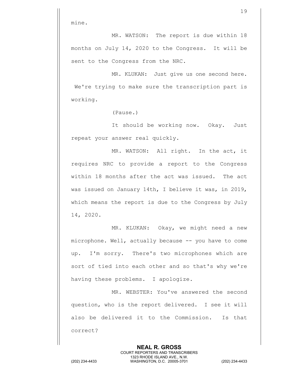mine.

MR. WATSON: The report is due within 18 months on July 14, 2020 to the Congress. It will be sent to the Congress from the NRC.

MR. KLUKAN: Just give us one second here. We're trying to make sure the transcription part is working.

(Pause.)

It should be working now. Okay. Just repeat your answer real quickly.

MR. WATSON: All right. In the act, it requires NRC to provide a report to the Congress within 18 months after the act was issued. The act was issued on January 14th, I believe it was, in 2019, which means the report is due to the Congress by July 14, 2020.

MR. KLUKAN: Okay, we might need a new microphone. Well, actually because -- you have to come up. I'm sorry. There's two microphones which are sort of tied into each other and so that's why we're having these problems. I apologize.

MR. WEBSTER: You've answered the second question, who is the report delivered. I see it will also be delivered it to the Commission. Is that correct?

> **NEAL R. GROSS** COURT REPORTERS AND TRANSCRIBERS 1323 RHODE ISLAND AVE., N.W.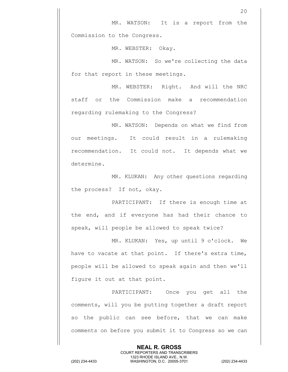MR. WEBSTER: Okay.

MR. WATSON: So we're collecting the data for that report in these meetings.

MR. WEBSTER: Right. And will the NRC staff or the Commission make a recommendation regarding rulemaking to the Congress?

MR. WATSON: Depends on what we find from our meetings. It could result in a rulemaking recommendation. It could not. It depends what we determine.

MR. KLUKAN: Any other questions regarding the process? If not, okay.

PARTICIPANT: If there is enough time at the end, and if everyone has had their chance to speak, will people be allowed to speak twice?

MR. KLUKAN: Yes, up until 9 o'clock. We have to vacate at that point. If there's extra time, people will be allowed to speak again and then we'll figure it out at that point.

PARTICIPANT: Once you get all the comments, will you be putting together a draft report so the public can see before, that we can make comments on before you submit it to Congress so we can

> **NEAL R. GROSS** COURT REPORTERS AND TRANSCRIBERS 1323 RHODE ISLAND AVE., N.W.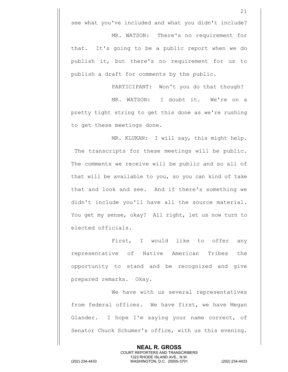see what you've included and what you didn't include?

MR. WATSON: There's no requirement for that. It's going to be a public report when we do publish it, but there's no requirement for us to publish a draft for comments by the public.

PARTICIPANT: Won't you do that though?

MR. WATSON: I doubt it. We're on a pretty tight string to get this done as we're rushing to get these meetings done.

MR. KLUKAN: I will say, this might help. The transcripts for these meetings will be public. The comments we receive will be public and so all of that will be available to you, so you can kind of take that and look and see. And if there's something we didn't include you'll have all the source material. You get my sense, okay? All right, let us now turn to elected officials.

First, I would like to offer any representative of Native American Tribes the opportunity to stand and be recognized and give prepared remarks. Okay.

We have with us several representatives from federal offices. We have first, we have Megan Glander. I hope I'm saying your name correct, of Senator Chuck Schumer's office, with us this evening.

> **NEAL R. GROSS** COURT REPORTERS AND TRANSCRIBERS 1323 RHODE ISLAND AVE., N.W.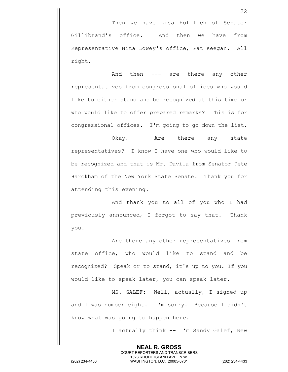Then we have Lisa Hofflich of Senator Gillibrand's office. And then we have from Representative Nita Lowey's office, Pat Keegan. All right.

And then --- are there any other representatives from congressional offices who would like to either stand and be recognized at this time or who would like to offer prepared remarks? This is for congressional offices. I'm going to go down the list.

Okay. Are there any state representatives? I know I have one who would like to be recognized and that is Mr. Davila from Senator Pete Harckham of the New York State Senate. Thank you for attending this evening.

And thank you to all of you who I had previously announced, I forgot to say that. Thank you.

Are there any other representatives from state office, who would like to stand and be recognized? Speak or to stand, it's up to you. If you would like to speak later, you can speak later.

MS. GALEF: Well, actually, I signed up and I was number eight. I'm sorry. Because I didn't know what was going to happen here.

> **NEAL R. GROSS** COURT REPORTERS AND TRANSCRIBERS 1323 RHODE ISLAND AVE., N.W.

I actually think -- I'm Sandy Galef, New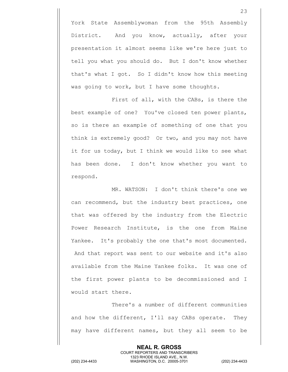York State Assemblywoman from the 95th Assembly District. And you know, actually, after your presentation it almost seems like we're here just to tell you what you should do. But I don't know whether that's what I got. So I didn't know how this meeting was going to work, but I have some thoughts.

First of all, with the CABs, is there the best example of one? You've closed ten power plants, so is there an example of something of one that you think is extremely good? Or two, and you may not have it for us today, but I think we would like to see what has been done. I don't know whether you want to respond.

MR. WATSON: I don't think there's one we can recommend, but the industry best practices, one that was offered by the industry from the Electric Power Research Institute, is the one from Maine Yankee. It's probably the one that's most documented. And that report was sent to our website and it's also available from the Maine Yankee folks. It was one of the first power plants to be decommissioned and I would start there.

There's a number of different communities and how the different, I'll say CABs operate. They may have different names, but they all seem to be

> **NEAL R. GROSS** COURT REPORTERS AND TRANSCRIBERS 1323 RHODE ISLAND AVE., N.W.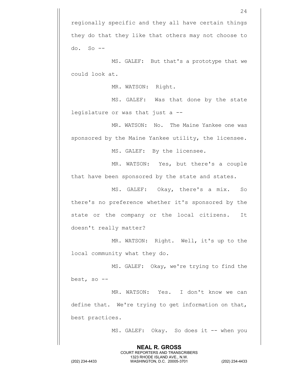MS. GALEF: But that's a prototype that we could look at.

MR. WATSON: Right.

MS. GALEF: Was that done by the state legislature or was that just a --

MR. WATSON: No. The Maine Yankee one was sponsored by the Maine Yankee utility, the licensee.

MS. GALEF: By the licensee.

MR. WATSON: Yes, but there's a couple that have been sponsored by the state and states.

MS. GALEF: Okay, there's a mix. So there's no preference whether it's sponsored by the state or the company or the local citizens. It doesn't really matter?

MR. WATSON: Right. Well, it's up to the local community what they do.

MS. GALEF: Okay, we're trying to find the best, so --

MR. WATSON: Yes. I don't know we can define that. We're trying to get information on that, best practices.

> **NEAL R. GROSS** COURT REPORTERS AND TRANSCRIBERS 1323 RHODE ISLAND AVE., N.W.

MS. GALEF: Okay. So does it -- when you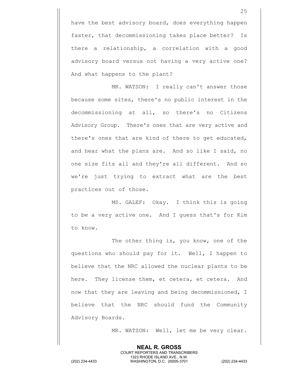have the best advisory board, does everything happen faster, that decommissioning takes place better? Is there a relationship, a correlation with a good advisory board versus not having a very active one? And what happens to the plant?

MR. WATSON: I really can't answer those because some sites, there's no public interest in the decommissioning at all, so there's no Citizens Advisory Group. There's ones that are very active and there's ones that are kind of there to get educated, and hear what the plans are. And so like I said, no one size fits all and they're all different. And so we're just trying to extract what are the best practices out of those.

MS. GALEF: Okay. I think this is going to be a very active one. And I guess that's for Kim to know.

The other thing is, you know, one of the questions who should pay for it. Well, I happen to believe that the NRC allowed the nuclear plants to be here. They license them, et cetera, et cetera. And now that they are leaving and being decommissioned, I believe that the NRC should fund the Community Advisory Boards.

> **NEAL R. GROSS** COURT REPORTERS AND TRANSCRIBERS 1323 RHODE ISLAND AVE., N.W.

MR. WATSON: Well, let me be very clear.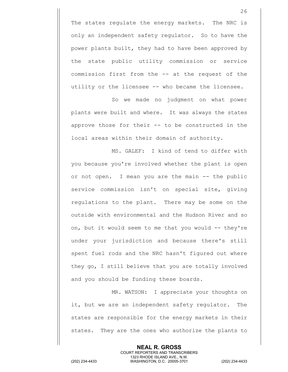The states regulate the energy markets. The NRC is only an independent safety regulator. So to have the power plants built, they had to have been approved by the state public utility commission or service commission first from the -- at the request of the utility or the licensee -- who became the licensee.

So we made no judgment on what power plants were built and where. It was always the states approve those for their -- to be constructed in the local areas within their domain of authority.

MS. GALEF: I kind of tend to differ with you because you're involved whether the plant is open or not open. I mean you are the main -- the public service commission isn't on special site, giving regulations to the plant. There may be some on the outside with environmental and the Hudson River and so on, but it would seem to me that you would -- they're under your jurisdiction and because there's still spent fuel rods and the NRC hasn't figured out where they go, I still believe that you are totally involved and you should be funding these boards.

MR. WATSON: I appreciate your thoughts on it, but we are an independent safety regulator. The states are responsible for the energy markets in their states. They are the ones who authorize the plants to

> **NEAL R. GROSS** COURT REPORTERS AND TRANSCRIBERS 1323 RHODE ISLAND AVE., N.W.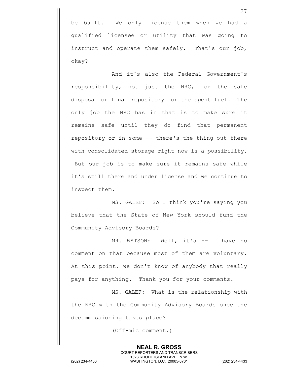be built. We only license them when we had a qualified licensee or utility that was going to instruct and operate them safely. That's our job, okay?

And it's also the Federal Government's responsibility, not just the NRC, for the safe disposal or final repository for the spent fuel. The only job the NRC has in that is to make sure it remains safe until they do find that permanent repository or in some -- there's the thing out there with consolidated storage right now is a possibility. But our job is to make sure it remains safe while it's still there and under license and we continue to inspect them.

MS. GALEF: So I think you're saying you believe that the State of New York should fund the Community Advisory Boards?

MR. WATSON: Well, it's -- I have no comment on that because most of them are voluntary. At this point, we don't know of anybody that really pays for anything. Thank you for your comments.

MS. GALEF: What is the relationship with the NRC with the Community Advisory Boards once the decommissioning takes place?

**NEAL R. GROSS**

(Off-mic comment.)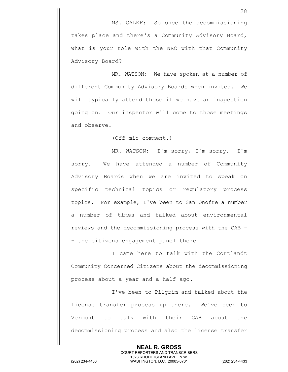MR. WATSON: We have spoken at a number of different Community Advisory Boards when invited. We will typically attend those if we have an inspection going on. Our inspector will come to those meetings and observe.

(Off-mic comment.)

MR. WATSON: I'm sorry, I'm sorry. I'm sorry. We have attended a number of Community Advisory Boards when we are invited to speak on specific technical topics or regulatory process topics. For example, I've been to San Onofre a number a number of times and talked about environmental reviews and the decommissioning process with the CAB - - the citizens engagement panel there.

I came here to talk with the Cortlandt Community Concerned Citizens about the decommissioning process about a year and a half ago.

 I've been to Pilgrim and talked about the license transfer process up there. We've been to Vermont to talk with their CAB about the decommissioning process and also the license transfer

> **NEAL R. GROSS** COURT REPORTERS AND TRANSCRIBERS 1323 RHODE ISLAND AVE., N.W.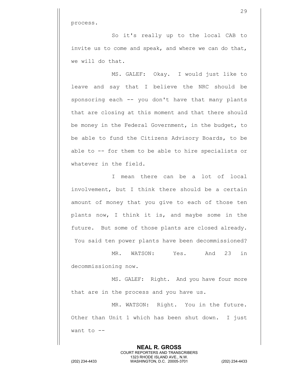process.

So it's really up to the local CAB to invite us to come and speak, and where we can do that, we will do that.

MS. GALEF: Okay. I would just like to leave and say that I believe the NRC should be sponsoring each -- you don't have that many plants that are closing at this moment and that there should be money in the Federal Government, in the budget, to be able to fund the Citizens Advisory Boards, to be able to -- for them to be able to hire specialists or whatever in the field.

I mean there can be a lot of local involvement, but I think there should be a certain amount of money that you give to each of those ten plants now, I think it is, and maybe some in the future. But some of those plants are closed already. You said ten power plants have been decommissioned?

MR. WATSON: Yes. And 23 in decommissioning now.

MS. GALEF: Right. And you have four more that are in the process and you have us.

MR. WATSON: Right. You in the future. Other than Unit 1 which has been shut down. I just want to --

> **NEAL R. GROSS** COURT REPORTERS AND TRANSCRIBERS 1323 RHODE ISLAND AVE., N.W.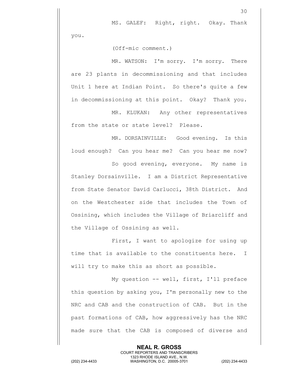MS. GALEF: Right, right. Okay. Thank

30

you.

(Off-mic comment.)

MR. WATSON: I'm sorry. I'm sorry. There are 23 plants in decommissioning and that includes Unit 1 here at Indian Point. So there's quite a few in decommissioning at this point. Okay? Thank you.

MR. KLUKAN: Any other representatives from the state or state level? Please.

MR. DORSAINVILLE: Good evening. Is this loud enough? Can you hear me? Can you hear me now?

So good evening, everyone. My name is Stanley Dorsainville. I am a District Representative from State Senator David Carlucci, 38th District. And on the Westchester side that includes the Town of Ossining, which includes the Village of Briarcliff and the Village of Ossining as well.

First, I want to apologize for using up time that is available to the constituents here. I will try to make this as short as possible.

My question -- well, first, I'll preface this question by asking you, I'm personally new to the NRC and CAB and the construction of CAB. But in the past formations of CAB, how aggressively has the NRC made sure that the CAB is composed of diverse and

> **NEAL R. GROSS** COURT REPORTERS AND TRANSCRIBERS 1323 RHODE ISLAND AVE., N.W.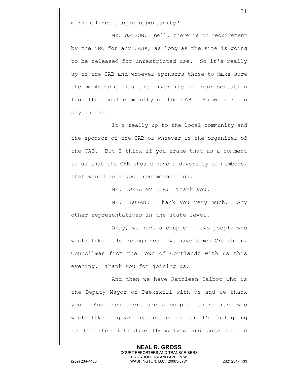marginalized people opportunity?

MR. WATSON: Well, there is no requirement by the NRC for any CABs, as long as the site is going to be released for unrestricted use. So it's really up to the CAB and whoever sponsors those to make sure the membership has the diversity of representation from the local community on the CAB. So we have no say in that.

It's really up to the local community and the sponsor of the CAB or whoever is the organizer of the CAB. But I think if you frame that as a comment to us that the CAB should have a diversity of members, that would be a good recommendation.

MR. DORSAINVILLE: Thank you.

MR. KLUKAN: Thank you very much. Any other representatives in the state level.

Okay, we have a couple -- two people who would like to be recognized. We have James Creighton, Councilman from the Town of Cortlandt with us this evening. Thank you for joining us.

And then we have Kathleen Talbot who is the Deputy Mayor of Peekskill with us and we thank you. And then there are a couple others here who would like to give prepared remarks and I'm just going to let them introduce themselves and come to the

> **NEAL R. GROSS** COURT REPORTERS AND TRANSCRIBERS 1323 RHODE ISLAND AVE., N.W.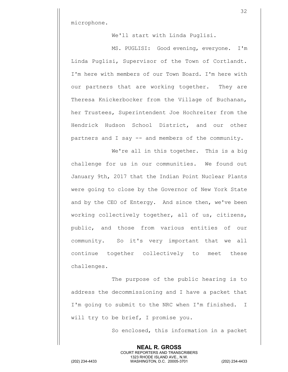microphone.

We'll start with Linda Puglisi.

MS. PUGLISI: Good evening, everyone. I'm Linda Puglisi, Supervisor of the Town of Cortlandt. I'm here with members of our Town Board. I'm here with our partners that are working together. They are Theresa Knickerbocker from the Village of Buchanan, her Trustees, Superintendent Joe Hochreiter from the Hendrick Hudson School District, and our other partners and I say -- and members of the community.

We're all in this together. This is a big challenge for us in our communities. We found out January 9th, 2017 that the Indian Point Nuclear Plants were going to close by the Governor of New York State and by the CEO of Entergy. And since then, we've been working collectively together, all of us, citizens, public, and those from various entities of our community. So it's very important that we all continue together collectively to meet these challenges.

The purpose of the public hearing is to address the decommissioning and I have a packet that I'm going to submit to the NRC when I'm finished. I will try to be brief, I promise you.

> **NEAL R. GROSS** COURT REPORTERS AND TRANSCRIBERS 1323 RHODE ISLAND AVE., N.W.

So enclosed, this information in a packet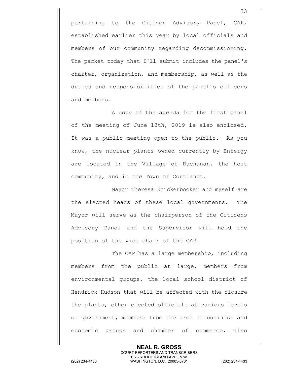pertaining to the Citizen Advisory Panel, CAP, established earlier this year by local officials and members of our community regarding decommissioning. The packet today that I'll submit includes the panel's charter, organization, and membership, as well as the duties and responsibilities of the panel's officers and members.

A copy of the agenda for the first panel of the meeting of June 13th, 2019 is also enclosed. It was a public meeting open to the public. As you know, the nuclear plants owned currently by Entergy are located in the Village of Buchanan, the host community, and in the Town of Cortlandt.

Mayor Theresa Knickerbocker and myself are the elected heads of these local governments. The Mayor will serve as the chairperson of the Citizens Advisory Panel and the Supervisor will hold the position of the vice chair of the CAP.

The CAP has a large membership, including members from the public at large, members from environmental groups, the local school district of Hendrick Hudson that will be affected with the closure the plants, other elected officials at various levels of government, members from the area of business and economic groups and chamber of commerce, also

> **NEAL R. GROSS** COURT REPORTERS AND TRANSCRIBERS

1323 RHODE ISLAND AVE., N.W. (202) 234-4433 WASHINGTON, D.C. 20005-3701 (202) 234-4433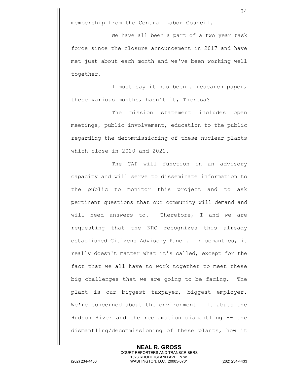membership from the Central Labor Council.

We have all been a part of a two year task force since the closure announcement in 2017 and have met just about each month and we've been working well together.

I must say it has been a research paper, these various months, hasn't it, Theresa?

The mission statement includes open meetings, public involvement, education to the public regarding the decommissioning of these nuclear plants which close in 2020 and 2021.

The CAP will function in an advisory capacity and will serve to disseminate information to the public to monitor this project and to ask pertinent questions that our community will demand and will need answers to. Therefore, I and we are requesting that the NRC recognizes this already established Citizens Advisory Panel. In semantics, it really doesn't matter what it's called, except for the fact that we all have to work together to meet these big challenges that we are going to be facing. The plant is our biggest taxpayer, biggest employer. We're concerned about the environment. It abuts the Hudson River and the reclamation dismantling -- the dismantling/decommissioning of these plants, how it

> **NEAL R. GROSS** COURT REPORTERS AND TRANSCRIBERS 1323 RHODE ISLAND AVE., N.W.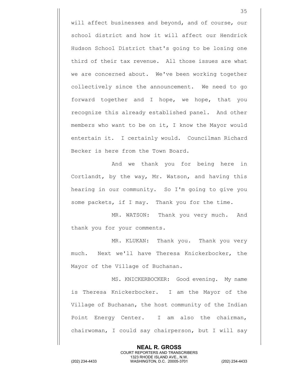will affect businesses and beyond, and of course, our school district and how it will affect our Hendrick Hudson School District that's going to be losing one third of their tax revenue. All those issues are what we are concerned about. We've been working together collectively since the announcement. We need to go forward together and I hope, we hope, that you recognize this already established panel. And other members who want to be on it, I know the Mayor would entertain it. I certainly would. Councilman Richard Becker is here from the Town Board.

And we thank you for being here in Cortlandt, by the way, Mr. Watson, and having this hearing in our community. So I'm going to give you some packets, if I may. Thank you for the time.

MR. WATSON: Thank you very much. And thank you for your comments.

MR. KLUKAN: Thank you. Thank you very much. Next we'll have Theresa Knickerbocker, the Mayor of the Village of Buchanan.

MS. KNICKERBOCKER: Good evening. My name is Theresa Knickerbocker. I am the Mayor of the Village of Buchanan, the host community of the Indian Point Energy Center. I am also the chairman, chairwoman, I could say chairperson, but I will say

> **NEAL R. GROSS** COURT REPORTERS AND TRANSCRIBERS 1323 RHODE ISLAND AVE., N.W.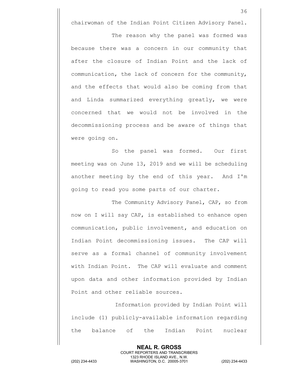chairwoman of the Indian Point Citizen Advisory Panel.

The reason why the panel was formed was because there was a concern in our community that after the closure of Indian Point and the lack of communication, the lack of concern for the community, and the effects that would also be coming from that and Linda summarized everything greatly, we were concerned that we would not be involved in the decommissioning process and be aware of things that were going on.

So the panel was formed. Our first meeting was on June 13, 2019 and we will be scheduling another meeting by the end of this year. And I'm going to read you some parts of our charter.

The Community Advisory Panel, CAP, so from now on I will say CAP, is established to enhance open communication, public involvement, and education on Indian Point decommissioning issues. The CAP will serve as a formal channel of community involvement with Indian Point. The CAP will evaluate and comment upon data and other information provided by Indian Point and other reliable sources.

Information provided by Indian Point will include (1) publicly-available information regarding the balance of the Indian Point nuclear

> **NEAL R. GROSS** COURT REPORTERS AND TRANSCRIBERS 1323 RHODE ISLAND AVE., N.W.

(202) 234-4433 WASHINGTON, D.C. 20005-3701 (202) 234-4433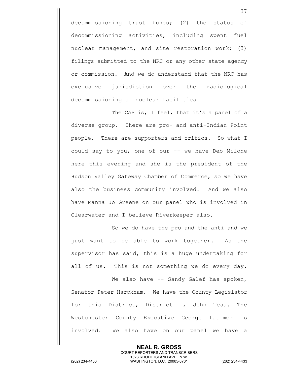decommissioning trust funds; (2) the status of decommissioning activities, including spent fuel nuclear management, and site restoration work; (3) filings submitted to the NRC or any other state agency or commission. And we do understand that the NRC has exclusive jurisdiction over the radiological decommissioning of nuclear facilities.

The CAP is, I feel, that it's a panel of a diverse group. There are pro- and anti-Indian Point people. There are supporters and critics. So what I could say to you, one of our -- we have Deb Milone here this evening and she is the president of the Hudson Valley Gateway Chamber of Commerce, so we have also the business community involved. And we also have Manna Jo Greene on our panel who is involved in Clearwater and I believe Riverkeeper also.

So we do have the pro and the anti and we just want to be able to work together. As the supervisor has said, this is a huge undertaking for all of us. This is not something we do every day.

We also have -- Sandy Galef has spoken, Senator Peter Harckham. We have the County Legislator for this District, District 1, John Tesa. The Westchester County Executive George Latimer is involved. We also have on our panel we have a

> **NEAL R. GROSS** COURT REPORTERS AND TRANSCRIBERS 1323 RHODE ISLAND AVE., N.W.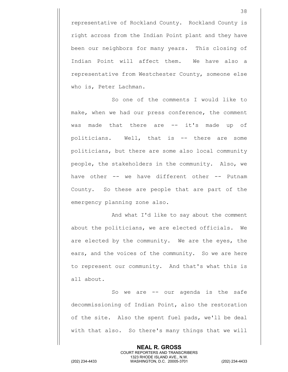representative of Rockland County. Rockland County is right across from the Indian Point plant and they have been our neighbors for many years. This closing of Indian Point will affect them. We have also a representative from Westchester County, someone else who is, Peter Lachman.

So one of the comments I would like to make, when we had our press conference, the comment was made that there are -- it's made up of politicians. Well, that is -- there are some politicians, but there are some also local community people, the stakeholders in the community. Also, we have other -- we have different other -- Putnam County. So these are people that are part of the emergency planning zone also.

And what I'd like to say about the comment about the politicians, we are elected officials. We are elected by the community. We are the eyes, the ears, and the voices of the community. So we are here to represent our community. And that's what this is all about.

So we are -- our agenda is the safe decommissioning of Indian Point, also the restoration of the site. Also the spent fuel pads, we'll be deal with that also. So there's many things that we will

> **NEAL R. GROSS** COURT REPORTERS AND TRANSCRIBERS 1323 RHODE ISLAND AVE., N.W.

(202) 234-4433 WASHINGTON, D.C. 20005-3701 (202) 234-4433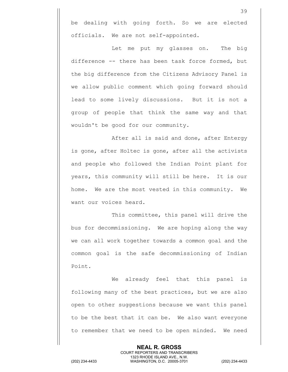be dealing with going forth. So we are elected officials. We are not self-appointed.

Let me put my glasses on. The big difference -- there has been task force formed, but the big difference from the Citizens Advisory Panel is we allow public comment which going forward should lead to some lively discussions. But it is not a group of people that think the same way and that wouldn't be good for our community.

After all is said and done, after Entergy is gone, after Holtec is gone, after all the activists and people who followed the Indian Point plant for years, this community will still be here. It is our home. We are the most vested in this community. We want our voices heard.

This committee, this panel will drive the bus for decommissioning. We are hoping along the way we can all work together towards a common goal and the common goal is the safe decommissioning of Indian Point.

We already feel that this panel is following many of the best practices, but we are also open to other suggestions because we want this panel to be the best that it can be. We also want everyone to remember that we need to be open minded. We need

> **NEAL R. GROSS** COURT REPORTERS AND TRANSCRIBERS 1323 RHODE ISLAND AVE., N.W.

(202) 234-4433 WASHINGTON, D.C. 20005-3701 (202) 234-4433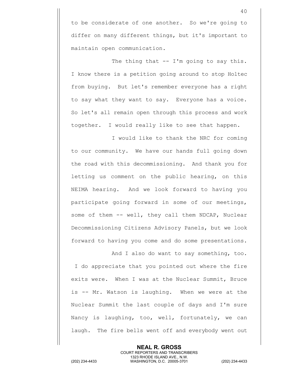to be considerate of one another. So we're going to differ on many different things, but it's important to maintain open communication.

The thing that  $-$  I'm going to say this. I know there is a petition going around to stop Holtec from buying. But let's remember everyone has a right to say what they want to say. Everyone has a voice. So let's all remain open through this process and work together. I would really like to see that happen.

I would like to thank the NRC for coming to our community. We have our hands full going down the road with this decommissioning. And thank you for letting us comment on the public hearing, on this NEIMA hearing. And we look forward to having you participate going forward in some of our meetings, some of them -- well, they call them NDCAP, Nuclear Decommissioning Citizens Advisory Panels, but we look forward to having you come and do some presentations.

And I also do want to say something, too. I do appreciate that you pointed out where the fire exits were. When I was at the Nuclear Summit, Bruce is -- Mr. Watson is laughing. When we were at the Nuclear Summit the last couple of days and I'm sure Nancy is laughing, too, well, fortunately, we can laugh. The fire bells went off and everybody went out

> **NEAL R. GROSS** COURT REPORTERS AND TRANSCRIBERS 1323 RHODE ISLAND AVE., N.W.

(202) 234-4433 WASHINGTON, D.C. 20005-3701 (202) 234-4433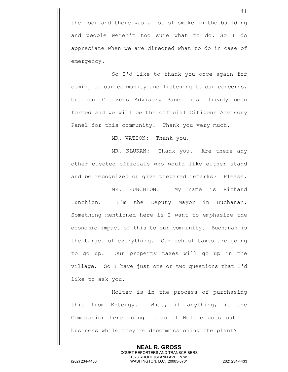the door and there was a lot of smoke in the building and people weren't too sure what to do. So I do appreciate when we are directed what to do in case of emergency.

So I'd like to thank you once again for coming to our community and listening to our concerns, but our Citizens Advisory Panel has already been formed and we will be the official Citizens Advisory Panel for this community. Thank you very much.

MR. WATSON: Thank you.

MR. KLUKAN: Thank you. Are there any other elected officials who would like either stand and be recognized or give prepared remarks? Please.

MR. FUNCHION: My name is Richard Funchion. I'm the Deputy Mayor in Buchanan. Something mentioned here is I want to emphasize the economic impact of this to our community. Buchanan is the target of everything. Our school taxes are going to go up. Our property taxes will go up in the village. So I have just one or two questions that I'd like to ask you.

Holtec is in the process of purchasing this from Entergy. What, if anything, is the Commission here going to do if Holtec goes out of business while they're decommissioning the plant?

**NEAL R. GROSS** COURT REPORTERS AND TRANSCRIBERS 1323 RHODE ISLAND AVE., N.W. (202) 234-4433 WASHINGTON, D.C. 20005-3701 (202) 234-4433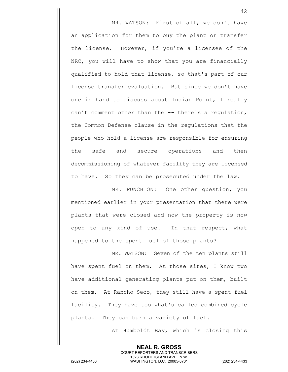MR. WATSON: First of all, we don't have an application for them to buy the plant or transfer the license. However, if you're a licensee of the NRC, you will have to show that you are financially qualified to hold that license, so that's part of our license transfer evaluation. But since we don't have one in hand to discuss about Indian Point, I really can't comment other than the -- there's a regulation, the Common Defense clause in the regulations that the people who hold a license are responsible for ensuring the safe and secure operations and then decommissioning of whatever facility they are licensed to have. So they can be prosecuted under the law.

MR. FUNCHION: One other question, you mentioned earlier in your presentation that there were plants that were closed and now the property is now open to any kind of use. In that respect, what happened to the spent fuel of those plants?

MR. WATSON: Seven of the ten plants still have spent fuel on them. At those sites, I know two have additional generating plants put on them, built on them. At Rancho Seco, they still have a spent fuel facility. They have too what's called combined cycle plants. They can burn a variety of fuel.

> **NEAL R. GROSS** COURT REPORTERS AND TRANSCRIBERS 1323 RHODE ISLAND AVE., N.W.

At Humboldt Bay, which is closing this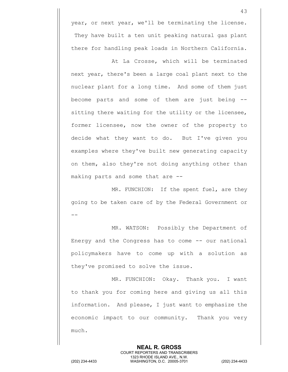year, or next year, we'll be terminating the license. They have built a ten unit peaking natural gas plant there for handling peak loads in Northern California.

At La Crosse, which will be terminated next year, there's been a large coal plant next to the nuclear plant for a long time. And some of them just become parts and some of them are just being - sitting there waiting for the utility or the licensee, former licensee, now the owner of the property to decide what they want to do. But I've given you examples where they've built new generating capacity on them, also they're not doing anything other than making parts and some that are --

MR. FUNCHION: If the spent fuel, are they going to be taken care of by the Federal Government or --

MR. WATSON: Possibly the Department of Energy and the Congress has to come -- our national policymakers have to come up with a solution as they've promised to solve the issue.

MR. FUNCHION: Okay. Thank you. I want to thank you for coming here and giving us all this information. And please, I just want to emphasize the economic impact to our community. Thank you very much.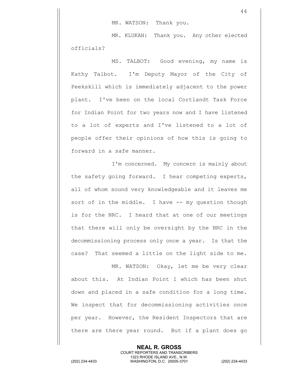MR. KLUKAN: Thank you. Any other elected officials?

MS. TALBOT: Good evening, my name is Kathy Talbot. I'm Deputy Mayor of the City of Peekskill which is immediately adjacent to the power plant. I've been on the local Cortlandt Task Force for Indian Point for two years now and I have listened to a lot of experts and I've listened to a lot of people offer their opinions of how this is going to forward in a safe manner.

I'm concerned. My concern is mainly about the safety going forward. I hear competing experts, all of whom sound very knowledgeable and it leaves me sort of in the middle. I have -- my question though is for the NRC. I heard that at one of our meetings that there will only be oversight by the NRC in the decommissioning process only once a year. Is that the case? That seemed a little on the light side to me.

MR. WATSON: Okay, let me be very clear about this. At Indian Point 1 which has been shut down and placed in a safe condition for a long time. We inspect that for decommissioning activities once per year. However, the Resident Inspectors that are there are there year round. But if a plant does go

> **NEAL R. GROSS** COURT REPORTERS AND TRANSCRIBERS 1323 RHODE ISLAND AVE., N.W.

(202) 234-4433 WASHINGTON, D.C. 20005-3701 (202) 234-4433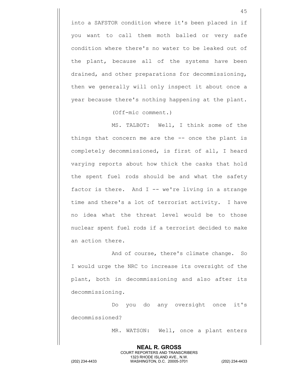into a SAFSTOR condition where it's been placed in if you want to call them moth balled or very safe condition where there's no water to be leaked out of the plant, because all of the systems have been drained, and other preparations for decommissioning, then we generally will only inspect it about once a year because there's nothing happening at the plant.

(Off-mic comment.)

MS. TALBOT: Well, I think some of the things that concern me are the -- once the plant is completely decommissioned, is first of all, I heard varying reports about how thick the casks that hold the spent fuel rods should be and what the safety factor is there. And  $I$  -- we're living in a strange time and there's a lot of terrorist activity. I have no idea what the threat level would be to those nuclear spent fuel rods if a terrorist decided to make an action there.

And of course, there's climate change. So I would urge the NRC to increase its oversight of the plant, both in decommissioning and also after its decommissioning.

Do you do any oversight once it's decommissioned?

> **NEAL R. GROSS** COURT REPORTERS AND TRANSCRIBERS 1323 RHODE ISLAND AVE., N.W.

MR. WATSON: Well, once a plant enters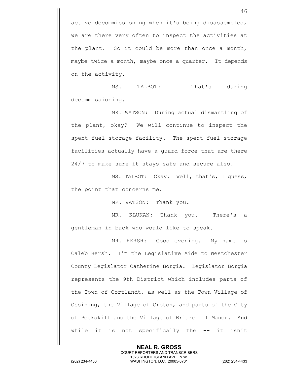active decommissioning when it's being disassembled, we are there very often to inspect the activities at the plant. So it could be more than once a month, maybe twice a month, maybe once a quarter. It depends on the activity.

MS. TALBOT: That's during decommissioning.

MR. WATSON: During actual dismantling of the plant, okay? We will continue to inspect the spent fuel storage facility. The spent fuel storage facilities actually have a guard force that are there 24/7 to make sure it stays safe and secure also.

MS. TALBOT: Okay. Well, that's, I guess, the point that concerns me.

MR. WATSON: Thank you.

MR. KLUKAN: Thank you. There's a gentleman in back who would like to speak.

MR. HERSH: Good evening. My name is Caleb Hersh. I'm the Legislative Aide to Westchester County Legislator Catherine Borgia. Legislator Borgia represents the 9th District which includes parts of the Town of Cortlandt, as well as the Town Village of Ossining, the Village of Croton, and parts of the City of Peekskill and the Village of Briarcliff Manor. And while it is not specifically the -- it isn't

> **NEAL R. GROSS** COURT REPORTERS AND TRANSCRIBERS 1323 RHODE ISLAND AVE., N.W.

(202) 234-4433 WASHINGTON, D.C. 20005-3701 (202) 234-4433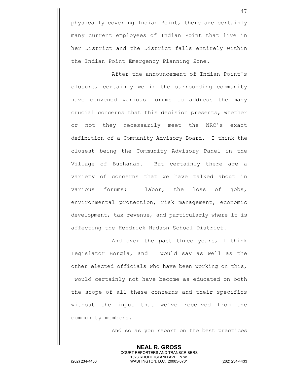physically covering Indian Point, there are certainly many current employees of Indian Point that live in her District and the District falls entirely within the Indian Point Emergency Planning Zone.

After the announcement of Indian Point's closure, certainly we in the surrounding community have convened various forums to address the many crucial concerns that this decision presents, whether or not they necessarily meet the NRC's exact definition of a Community Advisory Board. I think the closest being the Community Advisory Panel in the Village of Buchanan. But certainly there are a variety of concerns that we have talked about in various forums: labor, the loss of jobs, environmental protection, risk management, economic development, tax revenue, and particularly where it is affecting the Hendrick Hudson School District.

And over the past three years, I think Legislator Borgia, and I would say as well as the other elected officials who have been working on this, would certainly not have become as educated on both the scope of all these concerns and their specifics without the input that we've received from the community members.

And so as you report on the best practices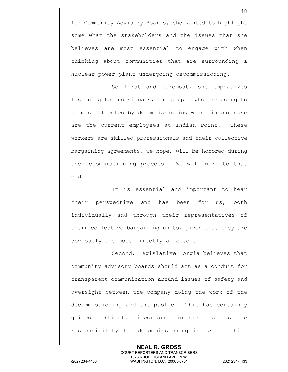for Community Advisory Boards, she wanted to highlight some what the stakeholders and the issues that she believes are most essential to engage with when thinking about communities that are surrounding a nuclear power plant undergoing decommissioning.

So first and foremost, she emphasizes listening to individuals, the people who are going to be most affected by decommissioning which in our case are the current employees at Indian Point. These workers are skilled professionals and their collective bargaining agreements, we hope, will be honored during the decommissioning process. We will work to that end.

It is essential and important to hear their perspective and has been for us, both individually and through their representatives of their collective bargaining units, given that they are obviously the most directly affected.

Second, Legislative Borgia believes that community advisory boards should act as a conduit for transparent communication around issues of safety and oversight between the company doing the work of the decommissioning and the public. This has certainly gained particular importance in our case as the responsibility for decommissioning is set to shift

**NEAL R. GROSS** COURT REPORTERS AND TRANSCRIBERS 1323 RHODE ISLAND AVE., N.W. (202) 234-4433 WASHINGTON, D.C. 20005-3701 (202) 234-4433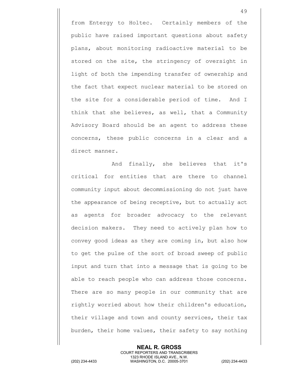from Entergy to Holtec. Certainly members of the public have raised important questions about safety plans, about monitoring radioactive material to be stored on the site, the stringency of oversight in light of both the impending transfer of ownership and the fact that expect nuclear material to be stored on the site for a considerable period of time. And I think that she believes, as well, that a Community Advisory Board should be an agent to address these concerns, these public concerns in a clear and a direct manner.

And finally, she believes that it's critical for entities that are there to channel community input about decommissioning do not just have the appearance of being receptive, but to actually act as agents for broader advocacy to the relevant decision makers. They need to actively plan how to convey good ideas as they are coming in, but also how to get the pulse of the sort of broad sweep of public input and turn that into a message that is going to be able to reach people who can address those concerns. There are so many people in our community that are rightly worried about how their children's education, their village and town and county services, their tax burden, their home values, their safety to say nothing

> **NEAL R. GROSS** COURT REPORTERS AND TRANSCRIBERS 1323 RHODE ISLAND AVE., N.W.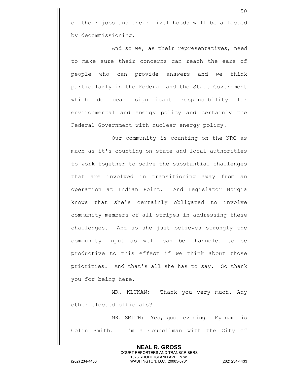of their jobs and their livelihoods will be affected by decommissioning.

And so we, as their representatives, need to make sure their concerns can reach the ears of people who can provide answers and we think particularly in the Federal and the State Government which do bear significant responsibility for environmental and energy policy and certainly the Federal Government with nuclear energy policy.

Our community is counting on the NRC as much as it's counting on state and local authorities to work together to solve the substantial challenges that are involved in transitioning away from an operation at Indian Point. And Legislator Borgia knows that she's certainly obligated to involve community members of all stripes in addressing these challenges. And so she just believes strongly the community input as well can be channeled to be productive to this effect if we think about those priorities. And that's all she has to say. So thank you for being here.

MR. KLUKAN: Thank you very much. Any other elected officials?

MR. SMITH: Yes, good evening. My name is Colin Smith. I'm a Councilman with the City of

**NEAL R. GROSS** COURT REPORTERS AND TRANSCRIBERS 1323 RHODE ISLAND AVE., N.W. (202) 234-4433 WASHINGTON, D.C. 20005-3701 (202) 234-4433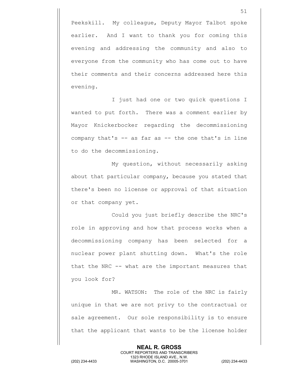Peekskill. My colleague, Deputy Mayor Talbot spoke earlier. And I want to thank you for coming this evening and addressing the community and also to everyone from the community who has come out to have their comments and their concerns addressed here this evening.

I just had one or two quick questions I wanted to put forth. There was a comment earlier by Mayor Knickerbocker regarding the decommissioning company that's -- as far as -- the one that's in line to do the decommissioning.

My question, without necessarily asking about that particular company, because you stated that there's been no license or approval of that situation or that company yet.

Could you just briefly describe the NRC's role in approving and how that process works when a decommissioning company has been selected for a nuclear power plant shutting down. What's the role that the NRC -- what are the important measures that you look for?

MR. WATSON: The role of the NRC is fairly unique in that we are not privy to the contractual or sale agreement. Our sole responsibility is to ensure that the applicant that wants to be the license holder

> **NEAL R. GROSS** COURT REPORTERS AND TRANSCRIBERS 1323 RHODE ISLAND AVE., N.W.

(202) 234-4433 WASHINGTON, D.C. 20005-3701 (202) 234-4433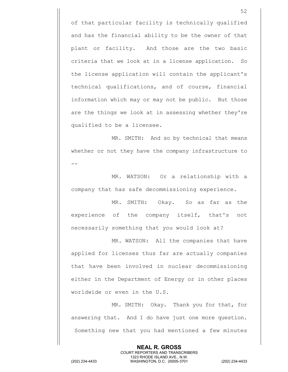of that particular facility is technically qualified and has the financial ability to be the owner of that plant or facility. And those are the two basic criteria that we look at in a license application. So the license application will contain the applicant's technical qualifications, and of course, financial information which may or may not be public. But those are the things we look at in assessing whether they're qualified to be a licensee.

MR. SMITH: And so by technical that means whether or not they have the company infrastructure to --

MR. WATSON: Or a relationship with a company that has safe decommissioning experience.

MR. SMITH: Okay. So as far as the experience of the company itself, that's not necessarily something that you would look at?

MR. WATSON: All the companies that have applied for licenses thus far are actually companies that have been involved in nuclear decommissioning either in the Department of Energy or in other places worldwide or even in the U.S.

MR. SMITH: Okay. Thank you for that, for answering that. And I do have just one more question. Something new that you had mentioned a few minutes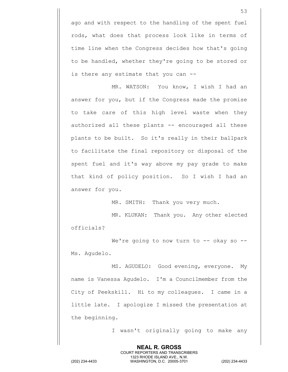ago and with respect to the handling of the spent fuel rods, what does that process look like in terms of time line when the Congress decides how that's going to be handled, whether they're going to be stored or is there any estimate that you can --

MR. WATSON: You know, I wish I had an answer for you, but if the Congress made the promise to take care of this high level waste when they authorized all these plants -- encouraged all these plants to be built. So it's really in their ballpark to facilitate the final repository or disposal of the spent fuel and it's way above my pay grade to make that kind of policy position. So I wish I had an answer for you.

MR. SMITH: Thank you very much.

MR. KLUKAN: Thank you. Any other elected officials?

We're going to now turn to  $--$  okay so  $--$ Ms. Agudelo.

MS. AGUDELO: Good evening, everyone. My name is Vanessa Agudelo. I'm a Councilmember from the City of Peekskill. Hi to my colleagues. I came in a little late. I apologize I missed the presentation at the beginning.

I wasn't originally going to make any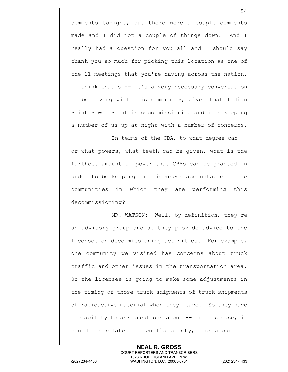comments tonight, but there were a couple comments made and I did jot a couple of things down. And I really had a question for you all and I should say thank you so much for picking this location as one of the 11 meetings that you're having across the nation. I think that's -- it's a very necessary conversation to be having with this community, given that Indian Point Power Plant is decommissioning and it's keeping a number of us up at night with a number of concerns.

In terms of the CBA, to what degree can -or what powers, what teeth can be given, what is the furthest amount of power that CBAs can be granted in order to be keeping the licensees accountable to the communities in which they are performing this decommissioning?

MR. WATSON: Well, by definition, they're an advisory group and so they provide advice to the licensee on decommissioning activities. For example, one community we visited has concerns about truck traffic and other issues in the transportation area. So the licensee is going to make some adjustments in the timing of those truck shipments of truck shipments of radioactive material when they leave. So they have the ability to ask questions about  $-$  in this case, it could be related to public safety, the amount of

**NEAL R. GROSS** COURT REPORTERS AND TRANSCRIBERS 1323 RHODE ISLAND AVE., N.W. (202) 234-4433 WASHINGTON, D.C. 20005-3701 (202) 234-4433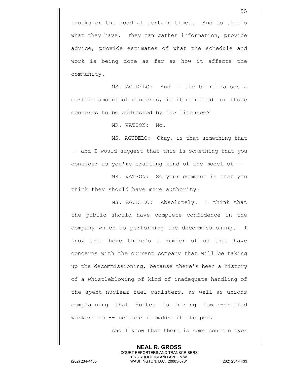trucks on the road at certain times. And so that's what they have. They can gather information, provide advice, provide estimates of what the schedule and work is being done as far as how it affects the community.

MS. AGUDELO: And if the board raises a certain amount of concerns, is it mandated for those concerns to be addressed by the licensee?

MR. WATSON: No.

MS. AGUDELO: Okay, is that something that -- and I would suggest that this is something that you consider as you're crafting kind of the model of --

MR. WATSON: So your comment is that you think they should have more authority?

MS. AGUDELO: Absolutely. I think that the public should have complete confidence in the company which is performing the decommissioning. I know that here there's a number of us that have concerns with the current company that will be taking up the decommissioning, because there's been a history of a whistleblowing of kind of inadequate handling of the spent nuclear fuel canisters, as well as unions complaining that Holtec is hiring lower-skilled workers to -- because it makes it cheaper.

> **NEAL R. GROSS** COURT REPORTERS AND TRANSCRIBERS 1323 RHODE ISLAND AVE., N.W.

And I know that there is some concern over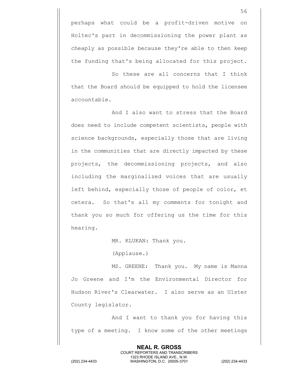So these are all concerns that I think that the Board should be equipped to hold the licensee accountable.

And I also want to stress that the Board does need to include competent scientists, people with science backgrounds, especially those that are living in the communities that are directly impacted by these projects, the decommissioning projects, and also including the marginalized voices that are usually left behind, especially those of people of color, et cetera. So that's all my comments for tonight and thank you so much for offering us the time for this hearing.

MR. KLUKAN: Thank you.

(Applause.)

MS. GREENE: Thank you. My name is Manna Jo Greene and I'm the Environmental Director for Hudson River's Clearwater. I also serve as an Ulster County legislator.

And I want to thank you for having this type of a meeting. I know some of the other meetings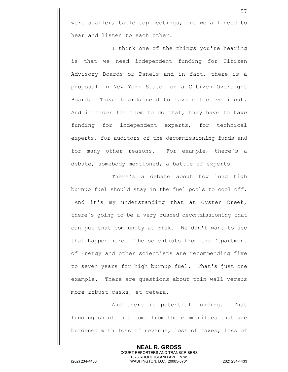were smaller, table top meetings, but we all need to hear and listen to each other.

I think one of the things you're hearing is that we need independent funding for Citizen Advisory Boards or Panels and in fact, there is a proposal in New York State for a Citizen Oversight Board. These boards need to have effective input. And in order for them to do that, they have to have funding for independent experts, for technical experts, for auditors of the decommissioning funds and for many other reasons. For example, there's a debate, somebody mentioned, a battle of experts.

There's a debate about how long high burnup fuel should stay in the fuel pools to cool off. And it's my understanding that at Oyster Creek, there's going to be a very rushed decommissioning that can put that community at risk. We don't want to see that happen here. The scientists from the Department of Energy and other scientists are recommending five to seven years for high burnup fuel. That's just one example. There are questions about thin wall versus more robust casks, et cetera.

And there is potential funding. That funding should not come from the communities that are burdened with loss of revenue, loss of taxes, loss of

> **NEAL R. GROSS** COURT REPORTERS AND TRANSCRIBERS 1323 RHODE ISLAND AVE., N.W.

(202) 234-4433 WASHINGTON, D.C. 20005-3701 (202) 234-4433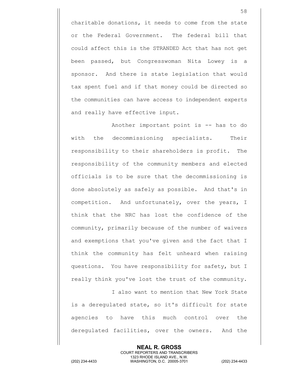charitable donations, it needs to come from the state or the Federal Government. The federal bill that could affect this is the STRANDED Act that has not get been passed, but Congresswoman Nita Lowey is a sponsor. And there is state legislation that would tax spent fuel and if that money could be directed so the communities can have access to independent experts and really have effective input.

Another important point is -- has to do with the decommissioning specialists. Their responsibility to their shareholders is profit. The responsibility of the community members and elected officials is to be sure that the decommissioning is done absolutely as safely as possible. And that's in competition. And unfortunately, over the years, I think that the NRC has lost the confidence of the community, primarily because of the number of waivers and exemptions that you've given and the fact that I think the community has felt unheard when raising questions. You have responsibility for safety, but I really think you've lost the trust of the community.

I also want to mention that New York State is a deregulated state, so it's difficult for state agencies to have this much control over the deregulated facilities, over the owners. And the

> **NEAL R. GROSS** COURT REPORTERS AND TRANSCRIBERS 1323 RHODE ISLAND AVE., N.W.

(202) 234-4433 WASHINGTON, D.C. 20005-3701 (202) 234-4433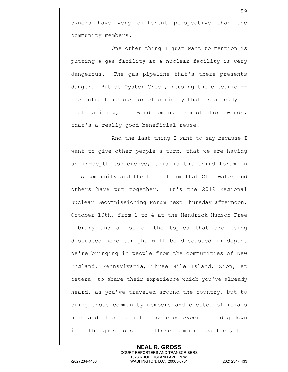owners have very different perspective than the community members.

One other thing I just want to mention is putting a gas facility at a nuclear facility is very dangerous. The gas pipeline that's there presents danger. But at Oyster Creek, reusing the electric - the infrastructure for electricity that is already at that facility, for wind coming from offshore winds, that's a really good beneficial reuse.

And the last thing I want to say because I want to give other people a turn, that we are having an in-depth conference, this is the third forum in this community and the fifth forum that Clearwater and others have put together. It's the 2019 Regional Nuclear Decommissioning Forum next Thursday afternoon, October 10th, from 1 to 4 at the Hendrick Hudson Free Library and a lot of the topics that are being discussed here tonight will be discussed in depth. We're bringing in people from the communities of New England, Pennsylvania, Three Mile Island, Zion, et cetera, to share their experience which you've already heard, as you've traveled around the country, but to bring those community members and elected officials here and also a panel of science experts to dig down into the questions that these communities face, but

> **NEAL R. GROSS** COURT REPORTERS AND TRANSCRIBERS 1323 RHODE ISLAND AVE., N.W.

(202) 234-4433 WASHINGTON, D.C. 20005-3701 (202) 234-4433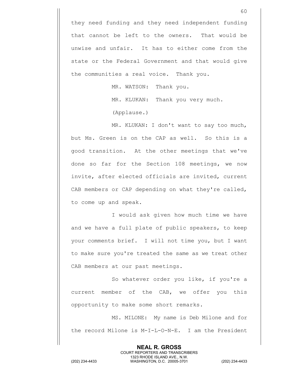they need funding and they need independent funding that cannot be left to the owners. That would be unwise and unfair. It has to either come from the state or the Federal Government and that would give the communities a real voice. Thank you.

MR. WATSON: Thank you.

MR. KLUKAN: Thank you very much.

(Applause.)

MR. KLUKAN: I don't want to say too much, but Ms. Green is on the CAP as well. So this is a good transition. At the other meetings that we've done so far for the Section 108 meetings, we now invite, after elected officials are invited, current CAB members or CAP depending on what they're called, to come up and speak.

I would ask given how much time we have and we have a full plate of public speakers, to keep your comments brief. I will not time you, but I want to make sure you're treated the same as we treat other CAB members at our past meetings.

So whatever order you like, if you're a current member of the CAB, we offer you this opportunity to make some short remarks.

MS. MILONE: My name is Deb Milone and for the record Milone is M-I-L-O-N-E. I am the President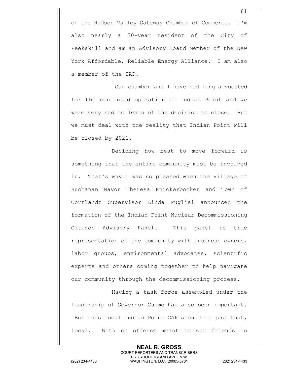of the Hudson Valley Gateway Chamber of Commerce. I'm also nearly a 30-year resident of the City of Peekskill and am an Advisory Board Member of the New York Affordable, Reliable Energy Alliance. I am also a member of the CAP.

Our chamber and I have had long advocated for the continued operation of Indian Point and we were very sad to learn of the decision to close. But we must deal with the reality that Indian Point will be closed by 2021.

Deciding how best to move forward is something that the entire community must be involved in. That's why I was so pleased when the Village of Buchanan Mayor Theresa Knickerbocker and Town of Cortlandt Supervisor Linda Puglisi announced the formation of the Indian Point Nuclear Decommissioning Citizen Advisory Panel. This panel is true representation of the community with business owners, labor groups, environmental advocates, scientific experts and others coming together to help navigate our community through the decommissioning process.

Having a task force assembled under the leadership of Governor Cuomo has also been important. But this local Indian Point CAP should be just that, local. With no offense meant to our friends in

> **NEAL R. GROSS** COURT REPORTERS AND TRANSCRIBERS 1323 RHODE ISLAND AVE., N.W.

(202) 234-4433 WASHINGTON, D.C. 20005-3701 (202) 234-4433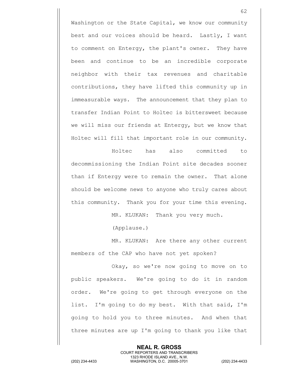Washington or the State Capital, we know our community best and our voices should be heard. Lastly, I want to comment on Entergy, the plant's owner. They have been and continue to be an incredible corporate neighbor with their tax revenues and charitable contributions, they have lifted this community up in immeasurable ways. The announcement that they plan to transfer Indian Point to Holtec is bittersweet because we will miss our friends at Entergy, but we know that Holtec will fill that important role in our community.

Holtec has also committed to decommissioning the Indian Point site decades sooner than if Entergy were to remain the owner. That alone should be welcome news to anyone who truly cares about this community. Thank you for your time this evening.

MR. KLUKAN: Thank you very much.

(Applause.)

MR. KLUKAN: Are there any other current members of the CAP who have not yet spoken?

Okay, so we're now going to move on to public speakers. We're going to do it in random order. We're going to get through everyone on the list. I'm going to do my best. With that said, I'm going to hold you to three minutes. And when that three minutes are up I'm going to thank you like that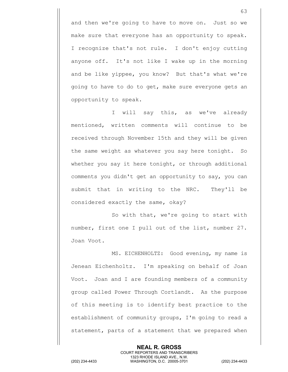and then we're going to have to move on. Just so we make sure that everyone has an opportunity to speak. I recognize that's not rule. I don't enjoy cutting anyone off. It's not like I wake up in the morning and be like yippee, you know? But that's what we're going to have to do to get, make sure everyone gets an opportunity to speak.

I will say this, as we've already mentioned, written comments will continue to be received through November 15th and they will be given the same weight as whatever you say here tonight. So whether you say it here tonight, or through additional comments you didn't get an opportunity to say, you can submit that in writing to the NRC. They'll be considered exactly the same, okay?

So with that, we're going to start with number, first one I pull out of the list, number 27. Joan Voot.

MS. EICHENHOLTZ: Good evening, my name is Jenean Eichenholtz. I'm speaking on behalf of Joan Voot. Joan and I are founding members of a community group called Power Through Cortlandt. As the purpose of this meeting is to identify best practice to the establishment of community groups, I'm going to read a statement, parts of a statement that we prepared when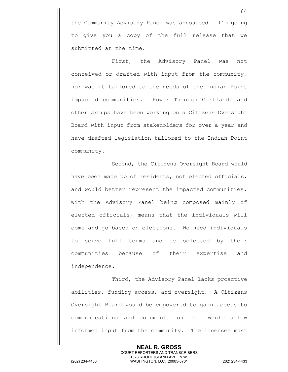the Community Advisory Panel was announced. I'm going to give you a copy of the full release that we submitted at the time.

First, the Advisory Panel was not conceived or drafted with input from the community, nor was it tailored to the needs of the Indian Point impacted communities. Power Through Cortlandt and other groups have been working on a Citizens Oversight Board with input from stakeholders for over a year and have drafted legislation tailored to the Indian Point community.

Second, the Citizens Oversight Board would have been made up of residents, not elected officials, and would better represent the impacted communities. With the Advisory Panel being composed mainly of elected officials, means that the individuals will come and go based on elections. We need individuals to serve full terms and be selected by their communities because of their expertise and independence.

Third, the Advisory Panel lacks proactive abilities, funding access, and oversight. A Citizens Oversight Board would be empowered to gain access to communications and documentation that would allow informed input from the community. The licensee must

1323 RHODE ISLAND AVE., N.W.

**NEAL R. GROSS** COURT REPORTERS AND TRANSCRIBERS

(202) 234-4433 WASHINGTON, D.C. 20005-3701 (202) 234-4433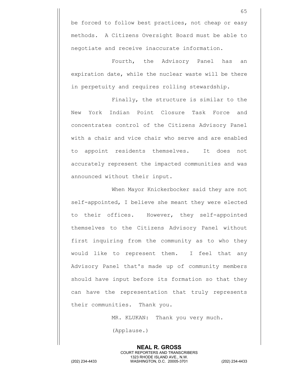be forced to follow best practices, not cheap or easy methods. A Citizens Oversight Board must be able to negotiate and receive inaccurate information.

Fourth, the Advisory Panel has an expiration date, while the nuclear waste will be there in perpetuity and requires rolling stewardship.

Finally, the structure is similar to the New York Indian Point Closure Task Force and concentrates control of the Citizens Advisory Panel with a chair and vice chair who serve and are enabled to appoint residents themselves. It does not accurately represent the impacted communities and was announced without their input.

When Mayor Knickerbocker said they are not self-appointed, I believe she meant they were elected to their offices. However, they self-appointed themselves to the Citizens Advisory Panel without first inquiring from the community as to who they would like to represent them. I feel that any Advisory Panel that's made up of community members should have input before its formation so that they can have the representation that truly represents their communities. Thank you.

MR. KLUKAN: Thank you very much.

**NEAL R. GROSS** COURT REPORTERS AND TRANSCRIBERS

(Applause.)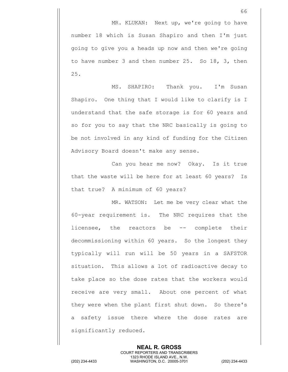MR. KLUKAN: Next up, we're going to have number 18 which is Susan Shapiro and then I'm just going to give you a heads up now and then we're going to have number 3 and then number 25. So 18, 3, then 25.

MS. SHAPIRO: Thank you. I'm Susan Shapiro. One thing that I would like to clarify is I understand that the safe storage is for 60 years and so for you to say that the NRC basically is going to be not involved in any kind of funding for the Citizen Advisory Board doesn't make any sense.

Can you hear me now? Okay. Is it true that the waste will be here for at least 60 years? Is that true? A minimum of 60 years?

MR. WATSON: Let me be very clear what the 60-year requirement is. The NRC requires that the licensee, the reactors be -- complete their decommissioning within 60 years. So the longest they typically will run will be 50 years in a SAFSTOR situation. This allows a lot of radioactive decay to take place so the dose rates that the workers would receive are very small. About one percent of what they were when the plant first shut down. So there's a safety issue there where the dose rates are significantly reduced.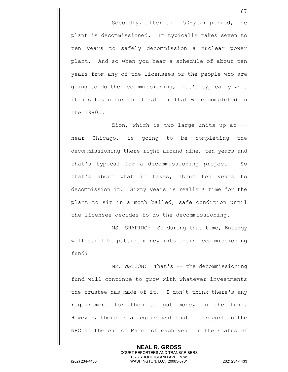Secondly, after that 50-year period, the plant is decommissioned. It typically takes seven to ten years to safely decommission a nuclear power plant. And so when you hear a schedule of about ten years from any of the licensees or the people who are going to do the decommissioning, that's typically what it has taken for the first ten that were completed in the 1990s.

Zion, which is two large units up at - near Chicago, is going to be completing the decommissioning there right around nine, ten years and that's typical for a decommissioning project. So that's about what it takes, about ten years to decommission it. Sixty years is really a time for the plant to sit in a moth balled, safe condition until the licensee decides to do the decommissioning.

MS. SHAPIRO: So during that time, Entergy will still be putting money into their decommissioning fund?

MR. WATSON: That's -- the decommissioning fund will continue to grow with whatever investments the trustee has made of it. I don't think there's any requirement for them to put money in the fund. However, there is a requirement that the report to the NRC at the end of March of each year on the status of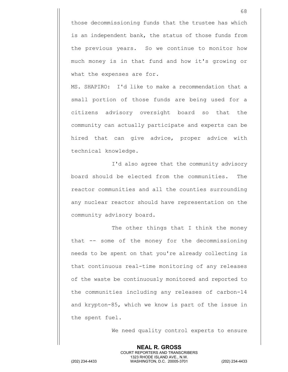those decommissioning funds that the trustee has which is an independent bank, the status of those funds from the previous years. So we continue to monitor how much money is in that fund and how it's growing or what the expenses are for.

MS. SHAPIRO: I'd like to make a recommendation that a small portion of those funds are being used for a citizens advisory oversight board so that the community can actually participate and experts can be hired that can give advice, proper advice with technical knowledge.

I'd also agree that the community advisory board should be elected from the communities. The reactor communities and all the counties surrounding any nuclear reactor should have representation on the community advisory board.

The other things that I think the money that -- some of the money for the decommissioning needs to be spent on that you're already collecting is that continuous real-time monitoring of any releases of the waste be continuously monitored and reported to the communities including any releases of carbon-14 and krypton-85, which we know is part of the issue in the spent fuel.

We need quality control experts to ensure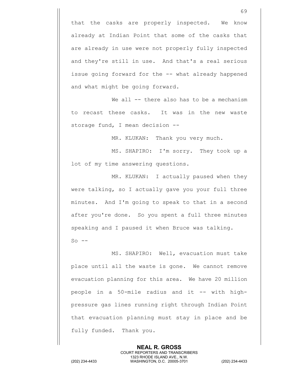that the casks are properly inspected. We know already at Indian Point that some of the casks that are already in use were not properly fully inspected and they're still in use. And that's a real serious issue going forward for the -- what already happened and what might be going forward.

We all -- there also has to be a mechanism to recast these casks. It was in the new waste storage fund, I mean decision --

MR. KLUKAN: Thank you very much.

MS. SHAPIRO: I'm sorry. They took up a lot of my time answering questions.

MR. KLUKAN: I actually paused when they were talking, so I actually gave you your full three minutes. And I'm going to speak to that in a second after you're done. So you spent a full three minutes speaking and I paused it when Bruce was talking.  $So$   $--$ 

MS. SHAPIRO: Well, evacuation must take place until all the waste is gone. We cannot remove evacuation planning for this area. We have 20 million people in a 50-mile radius and it -- with highpressure gas lines running right through Indian Point that evacuation planning must stay in place and be fully funded. Thank you.

> **NEAL R. GROSS** COURT REPORTERS AND TRANSCRIBERS 1323 RHODE ISLAND AVE., N.W.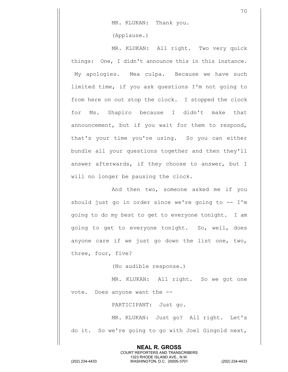MR. KLUKAN: Thank you.

(Applause.)

MR. KLUKAN: All right. Two very quick things: One, I didn't announce this in this instance. My apologies. Mea culpa. Because we have such limited time, if you ask questions I'm not going to from here on out stop the clock. I stopped the clock for Ms. Shapiro because I didn't make that announcement, but if you wait for them to respond, that's your time you're using. So you can either bundle all your questions together and then they'll answer afterwards, if they choose to answer, but I will no longer be pausing the clock.

And then two, someone asked me if you should just go in order since we're going to  $-- I'm$ going to do my best to get to everyone tonight. I am going to get to everyone tonight. So, well, does anyone care if we just go down the list one, two, three, four, five?

(No audible response.)

MR. KLUKAN: All right. So we got one vote. Does anyone want the --

PARTICIPANT: Just go.

MR. KLUKAN: Just go? All right. Let's do it. So we're going to go with Joel Gingold next,

> **NEAL R. GROSS** COURT REPORTERS AND TRANSCRIBERS 1323 RHODE ISLAND AVE., N.W.

(202) 234-4433 WASHINGTON, D.C. 20005-3701 (202) 234-4433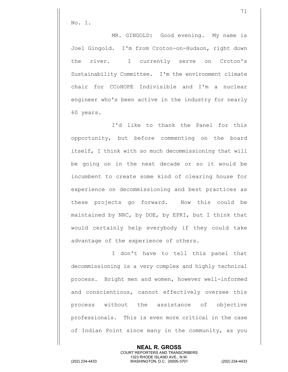No. 1.

MR. GINGOLD: Good evening. My name is Joel Gingold. I'm from Croton-on-Hudson, right down the river. I currently serve on Croton's Sustainability Committee. I'm the environment climate chair for CCoHOPE Indivisible and I'm a nuclear engineer who's been active in the industry for nearly 60 years.

I'd like to thank the Panel for this opportunity, but before commenting on the board itself, I think with so much decommissioning that will be going on in the next decade or so it would be incumbent to create some kind of clearing house for experience on decommissioning and best practices as these projects go forward. Now this could be maintained by NRC, by DOE, by EPRI, but I think that would certainly help everybody if they could take advantage of the experience of others.

I don't have to tell this panel that decommissioning is a very complex and highly technical process. Bright men and women, however well-informed and conscientious, cannot effectively oversee this process without the assistance of objective professionals. This is even more critical in the case of Indian Point since many in the community, as you

> **NEAL R. GROSS** COURT REPORTERS AND TRANSCRIBERS 1323 RHODE ISLAND AVE., N.W.

(202) 234-4433 WASHINGTON, D.C. 20005-3701 (202) 234-4433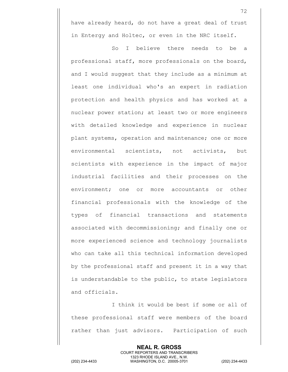have already heard, do not have a great deal of trust in Entergy and Holtec, or even in the NRC itself.

So I believe there needs to be a professional staff, more professionals on the board, and I would suggest that they include as a minimum at least one individual who's an expert in radiation protection and health physics and has worked at a nuclear power station; at least two or more engineers with detailed knowledge and experience in nuclear plant systems, operation and maintenance; one or more environmental scientists, not activists, but scientists with experience in the impact of major industrial facilities and their processes on the environment; one or more accountants or other financial professionals with the knowledge of the types of financial transactions and statements associated with decommissioning; and finally one or more experienced science and technology journalists who can take all this technical information developed by the professional staff and present it in a way that is understandable to the public, to state legislators and officials.

I think it would be best if some or all of these professional staff were members of the board rather than just advisors. Participation of such

> **NEAL R. GROSS** COURT REPORTERS AND TRANSCRIBERS 1323 RHODE ISLAND AVE., N.W.

(202) 234-4433 WASHINGTON, D.C. 20005-3701 (202) 234-4433

72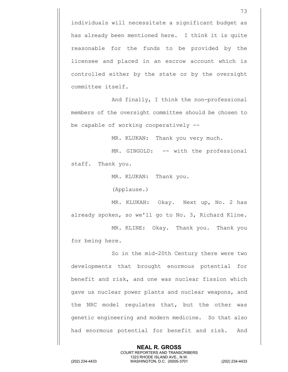individuals will necessitate a significant budget as has already been mentioned here. I think it is quite reasonable for the funds to be provided by the licensee and placed in an escrow account which is controlled either by the state or by the oversight committee itself.

And finally, I think the non-professional members of the oversight committee should be chosen to be capable of working cooperatively --

MR. KLUKAN: Thank you very much.

MR. GINGOLD: -- with the professional staff. Thank you.

MR. KLUKAN: Thank you.

(Applause.)

MR. KLUKAN: Okay. Next up, No. 2 has already spoken, so we'll go to No. 3, Richard Kline.

MR. KLINE: Okay. Thank you. Thank you for being here.

So in the mid-20th Century there were two developments that brought enormous potential for benefit and risk, and one was nuclear fission which gave us nuclear power plants and nuclear weapons, and the NRC model regulates that, but the other was genetic engineering and modern medicine. So that also had enormous potential for benefit and risk. And

> **NEAL R. GROSS** COURT REPORTERS AND TRANSCRIBERS 1323 RHODE ISLAND AVE., N.W.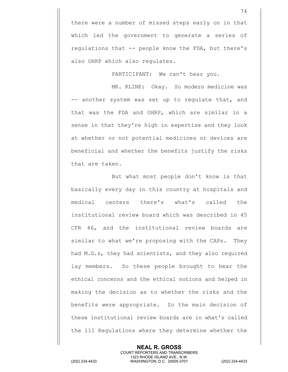there were a number of missed steps early on in that which led the government to generate a series of regulations that -- people know the FDA, but there's also OHRP which also regulates.

PARTICIPANT: We can't hear you.

MR. KLINE: Okay. So modern medicine was -- another system was set up to regulate that, and that was the FDA and OHRP, which are similar in a sense in that they're high in expertise and they look at whether or not potential medicines or devices are beneficial and whether the benefits justify the risks that are taken.

But what most people don't know is that basically every day in this country at hospitals and medical centers there's what's called the institutional review board which was described in 45 CFR 46, and the institutional review boards are similar to what we're proposing with the CAPs. They had M.D.s, they had scientists, and they also required lay members. So these people brought to bear the ethical concerns and the ethical notions and helped in making the decision as to whether the risks and the benefits were appropriate. So the main decision of these institutional review boards are in what's called the 111 Regulations where they determine whether the

> **NEAL R. GROSS** COURT REPORTERS AND TRANSCRIBERS 1323 RHODE ISLAND AVE., N.W.

(202) 234-4433 WASHINGTON, D.C. 20005-3701 (202) 234-4433

74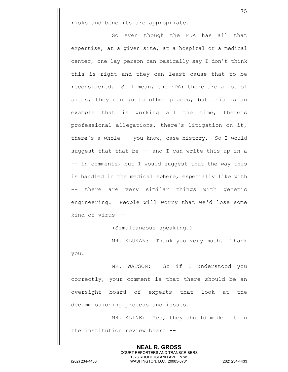risks and benefits are appropriate.

So even though the FDA has all that expertise, at a given site, at a hospital or a medical center, one lay person can basically say I don't think this is right and they can least cause that to be reconsidered. So I mean, the FDA; there are a lot of sites, they can go to other places, but this is an example that is working all the time, there's professional allegations, there's litigation on it, there's a whole -- you know, case history. So I would suggest that that be  $--$  and I can write this up in a -- in comments, but I would suggest that the way this is handled in the medical sphere, especially like with -- there are very similar things with genetic engineering. People will worry that we'd lose some kind of virus --

(Simultaneous speaking.)

MR. KLUKAN: Thank you very much. Thank you.

MR. WATSON: So if I understood you correctly, your comment is that there should be an oversight board of experts that look at the decommissioning process and issues.

MR. KLINE: Yes, they should model it on the institution review board --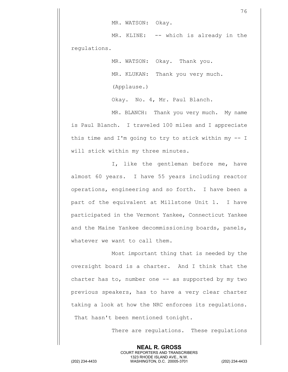MR. WATSON: Okay.

MR. KLINE: -- which is already in the regulations.

> MR. WATSON: Okay. Thank you. MR. KLUKAN: Thank you very much. (Applause.)

Okay. No. 4, Mr. Paul Blanch.

MR. BLANCH: Thank you very much. My name is Paul Blanch. I traveled 100 miles and I appreciate this time and I'm going to try to stick within my -- I will stick within my three minutes.

I, like the gentleman before me, have almost 60 years. I have 55 years including reactor operations, engineering and so forth. I have been a part of the equivalent at Millstone Unit 1. I have participated in the Vermont Yankee, Connecticut Yankee and the Maine Yankee decommissioning boards, panels, whatever we want to call them.

Most important thing that is needed by the oversight board is a charter. And I think that the charter has to, number one  $-$  as supported by my two previous speakers, has to have a very clear charter taking a look at how the NRC enforces its regulations. That hasn't been mentioned tonight.

> **NEAL R. GROSS** COURT REPORTERS AND TRANSCRIBERS 1323 RHODE ISLAND AVE., N.W.

There are regulations. These regulations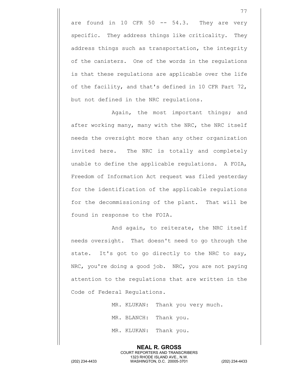are found in 10 CFR  $50$  --  $54.3$ . They are very specific. They address things like criticality. They address things such as transportation, the integrity of the canisters. One of the words in the regulations is that these regulations are applicable over the life of the facility, and that's defined in 10 CFR Part 72, but not defined in the NRC regulations.

Again, the most important things; and after working many, many with the NRC, the NRC itself needs the oversight more than any other organization invited here. The NRC is totally and completely unable to define the applicable regulations. A FOIA, Freedom of Information Act request was filed yesterday for the identification of the applicable regulations for the decommissioning of the plant. That will be found in response to the FOIA.

And again, to reiterate, the NRC itself needs oversight. That doesn't need to go through the state. It's got to go directly to the NRC to say, NRC, you're doing a good job. NRC, you are not paying attention to the regulations that are written in the Code of Federal Regulations.

MR. KLUKAN: Thank you very much.

MR. BLANCH: Thank you.

MR. KLUKAN: Thank you.

77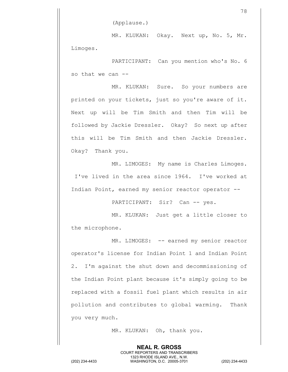(Applause.)

MR. KLUKAN: Okay. Next up, No. 5, Mr. Limoges.

PARTICIPANT: Can you mention who's No. 6 so that we can --

MR. KLUKAN: Sure. So your numbers are printed on your tickets, just so you're aware of it. Next up will be Tim Smith and then Tim will be followed by Jackie Dressler. Okay? So next up after this will be Tim Smith and then Jackie Dressler. Okay? Thank you.

MR. LIMOGES: My name is Charles Limoges. I've lived in the area since 1964. I've worked at Indian Point, earned my senior reactor operator --

PARTICIPANT: Sir? Can -- yes.

MR. KLUKAN: Just get a little closer to the microphone.

MR. LIMOGES: -- earned my senior reactor operator's license for Indian Point 1 and Indian Point 2. I'm against the shut down and decommissioning of the Indian Point plant because it's simply going to be replaced with a fossil fuel plant which results in air pollution and contributes to global warming. Thank you very much.

MR. KLUKAN: Oh, thank you.

**NEAL R. GROSS** COURT REPORTERS AND TRANSCRIBERS 1323 RHODE ISLAND AVE., N.W. (202) 234-4433 WASHINGTON, D.C. 20005-3701 (202) 234-4433

<sup>78</sup>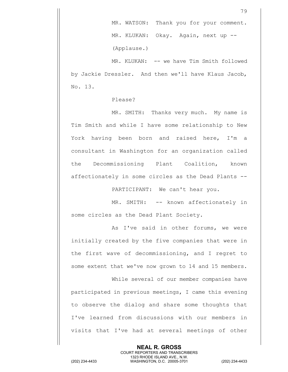79

MR. KLUKAN: -- we have Tim Smith followed by Jackie Dressler. And then we'll have Klaus Jacob, No. 13.

## Please?

MR. SMITH: Thanks very much. My name is Tim Smith and while I have some relationship to New York having been born and raised here, I'm a consultant in Washington for an organization called the Decommissioning Plant Coalition, known affectionately in some circles as the Dead Plants --

PARTICIPANT: We can't hear you.

MR. SMITH: -- known affectionately in some circles as the Dead Plant Society.

As I've said in other forums, we were initially created by the five companies that were in the first wave of decommissioning, and I regret to some extent that we've now grown to 14 and 15 members.

While several of our member companies have participated in previous meetings, I came this evening to observe the dialog and share some thoughts that I've learned from discussions with our members in visits that I've had at several meetings of other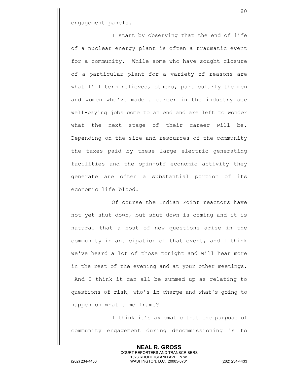engagement panels.

I start by observing that the end of life of a nuclear energy plant is often a traumatic event for a community. While some who have sought closure of a particular plant for a variety of reasons are what I'll term relieved, others, particularly the men and women who've made a career in the industry see well-paying jobs come to an end and are left to wonder what the next stage of their career will be. Depending on the size and resources of the community the taxes paid by these large electric generating facilities and the spin-off economic activity they generate are often a substantial portion of its economic life blood.

Of course the Indian Point reactors have not yet shut down, but shut down is coming and it is natural that a host of new questions arise in the community in anticipation of that event, and I think we've heard a lot of those tonight and will hear more in the rest of the evening and at your other meetings. And I think it can all be summed up as relating to questions of risk, who's in charge and what's going to happen on what time frame?

I think it's axiomatic that the purpose of community engagement during decommissioning is to

> **NEAL R. GROSS** COURT REPORTERS AND TRANSCRIBERS 1323 RHODE ISLAND AVE., N.W.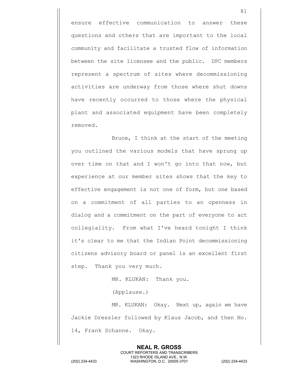ensure effective communication to answer these questions and others that are important to the local community and facilitate a trusted flow of information between the site licensee and the public. DPC members represent a spectrum of sites where decommissioning activities are underway from those where shut downs have recently occurred to those where the physical plant and associated equipment have been completely removed.

Bruce, I think at the start of the meeting you outlined the various models that have sprung up over time on that and I won't go into that now, but experience at our member sites shows that the key to effective engagement is not one of form, but one based on a commitment of all parties to an openness in dialog and a commitment on the part of everyone to act collegiality. From what I've heard tonight I think it's clear to me that the Indian Point decommissioning citizens advisory board or panel is an excellent first step. Thank you very much.

MR. KLUKAN: Thank you.

(Applause.)

MR. KLUKAN: Okay. Next up, again we have Jackie Dressler followed by Klaus Jacob, and then No. 14, Frank Schanne. Okay.

81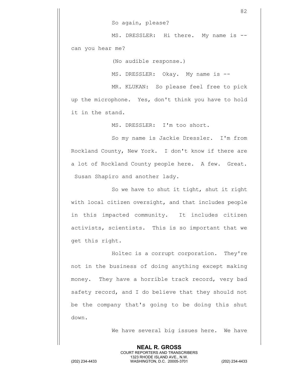So again, please?

MS. DRESSLER: Hi there. My name is -can you hear me?

(No audible response.)

MS. DRESSLER: Okay. My name is --

MR. KLUKAN: So please feel free to pick up the microphone. Yes, don't think you have to hold it in the stand.

MS. DRESSLER: I'm too short.

So my name is Jackie Dressler. I'm from Rockland County, New York. I don't know if there are a lot of Rockland County people here. A few. Great. Susan Shapiro and another lady.

So we have to shut it tight, shut it right with local citizen oversight, and that includes people in this impacted community. It includes citizen activists, scientists. This is so important that we get this right.

Holtec is a corrupt corporation. They're not in the business of doing anything except making money. They have a horrible track record, very bad safety record, and I do believe that they should not be the company that's going to be doing this shut down.

We have several big issues here. We have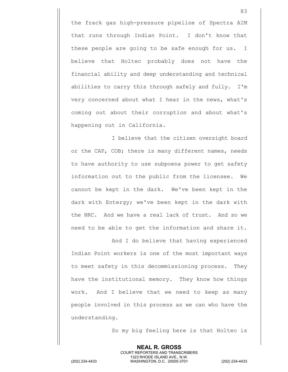the frack gas high-pressure pipeline of Spectra AIM that runs through Indian Point. I don't know that these people are going to be safe enough for us. I believe that Holtec probably does not have the financial ability and deep understanding and technical abilities to carry this through safely and fully. I'm very concerned about what I hear in the news, what's coming out about their corruption and about what's happening out in California.

I believe that the citizen oversight board or the CAP, COB; there is many different names, needs to have authority to use subpoena power to get safety information out to the public from the licensee. We cannot be kept in the dark. We've been kept in the dark with Entergy; we've been kept in the dark with the NRC. And we have a real lack of trust. And so we need to be able to get the information and share it.

And I do believe that having experienced Indian Point workers is one of the most important ways to meet safety in this decommissioning process. They have the institutional memory. They know how things work. And I believe that we need to keep as many people involved in this process as we can who have the understanding.

So my big feeling here is that Holtec is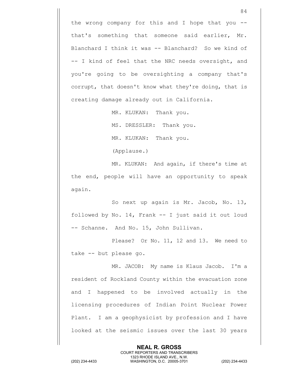the wrong company for this and I hope that you  $$ that's something that someone said earlier, Mr. Blanchard I think it was -- Blanchard? So we kind of -- I kind of feel that the NRC needs oversight, and you're going to be oversighting a company that's corrupt, that doesn't know what they're doing, that is creating damage already out in California.

MR. KLUKAN: Thank you.

MS. DRESSLER: Thank you.

MR. KLUKAN: Thank you.

(Applause.)

MR. KLUKAN: And again, if there's time at the end, people will have an opportunity to speak again.

So next up again is Mr. Jacob, No. 13, followed by No. 14, Frank -- I just said it out loud -- Schanne. And No. 15, John Sullivan.

Please? Or No. 11, 12 and 13. We need to take -- but please go.

MR. JACOB: My name is Klaus Jacob. I'm a resident of Rockland County within the evacuation zone and I happened to be involved actually in the licensing procedures of Indian Point Nuclear Power Plant. I am a geophysicist by profession and I have looked at the seismic issues over the last 30 years

> **NEAL R. GROSS** COURT REPORTERS AND TRANSCRIBERS 1323 RHODE ISLAND AVE., N.W.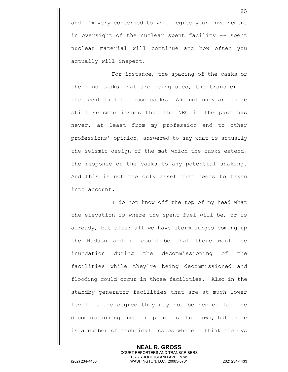and I'm very concerned to what degree your involvement in oversight of the nuclear spent facility -- spent nuclear material will continue and how often you actually will inspect.

For instance, the spacing of the casks or the kind casks that are being used, the transfer of the spent fuel to those casks. And not only are there still seismic issues that the NRC in the past has never, at least from my profession and to other professions' opinion, answered to say what is actually the seismic design of the mat which the casks extend, the response of the casks to any potential shaking. And this is not the only asset that needs to taken into account.

I do not know off the top of my head what the elevation is where the spent fuel will be, or is already, but after all we have storm surges coming up the Hudson and it could be that there would be inundation during the decommissioning of the facilities while they're being decommissioned and flooding could occur in those facilities. Also in the standby generator facilities that are at much lower level to the degree they may not be needed for the decommissioning once the plant is shut down, but there is a number of technical issues where I think the CVA

**NEAL R. GROSS** COURT REPORTERS AND TRANSCRIBERS 1323 RHODE ISLAND AVE., N.W. (202) 234-4433 WASHINGTON, D.C. 20005-3701 (202) 234-4433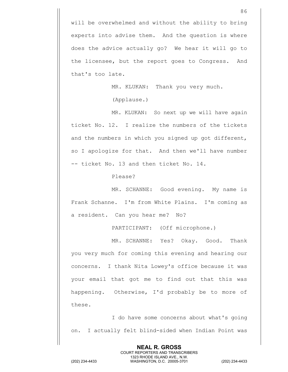will be overwhelmed and without the ability to bring experts into advise them. And the question is where does the advice actually go? We hear it will go to the licensee, but the report goes to Congress. And that's too late.

MR. KLUKAN: Thank you very much.

(Applause.)

MR. KLUKAN: So next up we will have again ticket No. 12. I realize the numbers of the tickets and the numbers in which you signed up got different, so I apologize for that. And then we'll have number -- ticket No. 13 and then ticket No. 14.

Please?

MR. SCHANNE: Good evening. My name is Frank Schanne. I'm from White Plains. I'm coming as a resident. Can you hear me? No?

PARTICIPANT: (Off microphone.)

MR. SCHANNE: Yes? Okay. Good. Thank you very much for coming this evening and hearing our concerns. I thank Nita Lowey's office because it was your email that got me to find out that this was happening. Otherwise, I'd probably be to more of these.

I do have some concerns about what's going on. I actually felt blind-sided when Indian Point was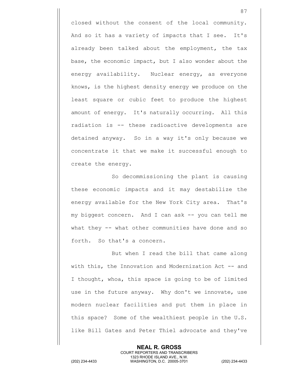closed without the consent of the local community. And so it has a variety of impacts that I see. It's already been talked about the employment, the tax base, the economic impact, but I also wonder about the energy availability. Nuclear energy, as everyone knows, is the highest density energy we produce on the least square or cubic feet to produce the highest amount of energy. It's naturally occurring. All this radiation is -- these radioactive developments are detained anyway. So in a way it's only because we concentrate it that we make it successful enough to create the energy.

So decommissioning the plant is causing these economic impacts and it may destabilize the energy available for the New York City area. That's my biggest concern. And I can ask -- you can tell me what they -- what other communities have done and so forth. So that's a concern.

But when I read the bill that came along with this, the Innovation and Modernization Act -- and I thought, whoa, this space is going to be of limited use in the future anyway. Why don't we innovate, use modern nuclear facilities and put them in place in this space? Some of the wealthiest people in the U.S. like Bill Gates and Peter Thiel advocate and they've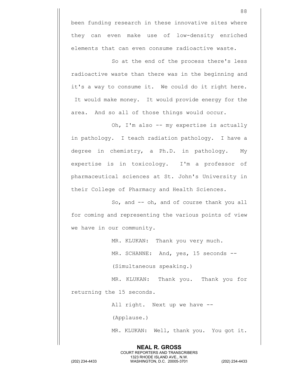been funding research in these innovative sites where they can even make use of low-density enriched elements that can even consume radioactive waste.

So at the end of the process there's less radioactive waste than there was in the beginning and it's a way to consume it. We could do it right here. It would make money. It would provide energy for the area. And so all of those things would occur.

Oh, I'm also -- my expertise is actually in pathology. I teach radiation pathology. I have a degree in chemistry, a Ph.D. in pathology. My expertise is in toxicology. I'm a professor of pharmaceutical sciences at St. John's University in their College of Pharmacy and Health Sciences.

So, and -- oh, and of course thank you all for coming and representing the various points of view we have in our community.

MR. KLUKAN: Thank you very much.

MR. SCHANNE: And, yes, 15 seconds --

(Simultaneous speaking.)

MR. KLUKAN: Thank you. Thank you for returning the 15 seconds.

All right. Next up we have --

**NEAL R. GROSS** COURT REPORTERS AND TRANSCRIBERS 1323 RHODE ISLAND AVE., N.W.

(Applause.)

MR. KLUKAN: Well, thank you. You got it.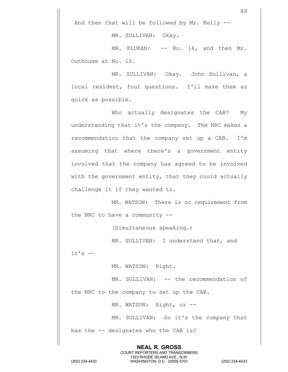And then that will be followed by Mr. Kelly --

MR. SULLIVAN: Okay.

MR. KLUKAN: -- No. 14, and then Mr. Outhouse at No. 15.

MR. SULLIVAN: Okay. John Sullivan, a local resident, four questions. I'll make them as quick as possible.

Who actually designates the CAB? My understanding that it's the company. The NRC makes a recommendation that the company set up a CAB. I'm assuming that where there's a government entity involved that the company has agreed to be involved with the government entity, that they could actually challenge it if they wanted to.

MR. WATSON: There is no requirement from the NRC to have a community --

(Simultaneous speaking.)

MR. SULLIVAN: I understand that, and

 $it's$   $-$ 

MR. WATSON: Right.

MR. SULLIVAN: -- the recommendation of

the NRC to the company to set up the CAB.

MR. WATSON: Right, or --

MR. SULLIVAN: So it's the company that has the -- designates who the CAB is?

> **NEAL R. GROSS** COURT REPORTERS AND TRANSCRIBERS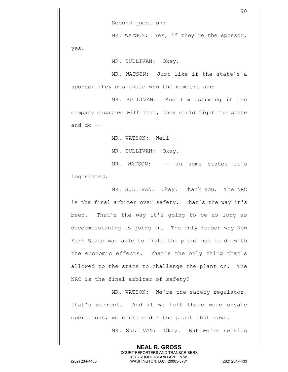Second question:

MR. WATSON: Yes, if they're the sponsor, yes.

MR. SULLIVAN: Okay.

MR. WATSON: Just like if the state's a sponsor they designate who the members are.

MR. SULLIVAN: And I'm assuming if the company disagree with that, they could fight the state and do  $-$ 

MR. WATSON: Well --

MR. SULLIVAN: Okay.

MR. WATSON: -- in some states it's legislated.

MR. SULLIVAN: Okay. Thank you. The NRC is the final arbiter over safety. That's the way it's been. That's the way it's going to be as long as decommissioning is going on. The only reason why New York State was able to fight the plant had to do with the economic effects. That's the only thing that's allowed to the state to challenge the plant on. The NRC is the final arbiter of safety?

MR. WATSON: We're the safety regulator, that's correct. And if we felt there were unsafe operations, we could order the plant shut down.

> **NEAL R. GROSS** COURT REPORTERS AND TRANSCRIBERS 1323 RHODE ISLAND AVE., N.W.

MR. SULLIVAN: Okay. But we're relying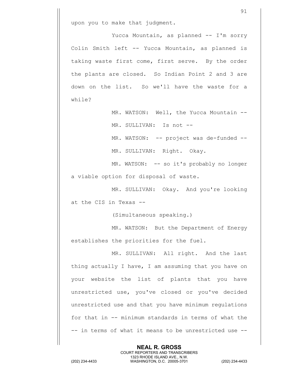upon you to make that judgment.

Yucca Mountain, as planned -- I'm sorry Colin Smith left -- Yucca Mountain, as planned is taking waste first come, first serve. By the order the plants are closed. So Indian Point 2 and 3 are down on the list. So we'll have the waste for a while?

> MR. WATSON: Well, the Yucca Mountain --MR. SULLIVAN: Is not --

> MR. WATSON: -- project was de-funded -- MR. SULLIVAN: Right. Okay.

MR. WATSON: -- so it's probably no longer a viable option for disposal of waste.

MR. SULLIVAN: Okay. And you're looking at the CIS in Texas --

(Simultaneous speaking.)

MR. WATSON: But the Department of Energy establishes the priorities for the fuel.

MR. SULLIVAN: All right. And the last thing actually I have, I am assuming that you have on your website the list of plants that you have unrestricted use, you've closed or you've decided unrestricted use and that you have minimum regulations for that in -- minimum standards in terms of what the -- in terms of what it means to be unrestricted use --

> **NEAL R. GROSS** COURT REPORTERS AND TRANSCRIBERS 1323 RHODE ISLAND AVE., N.W.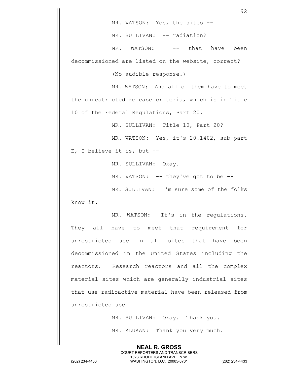MR. WATSON: Yes, the sites --

MR. SULLIVAN: -- radiation?

MR. WATSON: -- that have been decommissioned are listed on the website, correct?

(No audible response.)

MR. WATSON: And all of them have to meet the unrestricted release criteria, which is in Title 10 of the Federal Regulations, Part 20.

MR. SULLIVAN: Title 10, Part 20?

MR. WATSON: Yes, it's 20.1402, sub-part

E, I believe it is, but --

MR. SULLIVAN: Okay.

MR. WATSON: -- they've got to be --

MR. SULLIVAN: I'm sure some of the folks

know it.

MR. WATSON: It's in the regulations. They all have to meet that requirement for unrestricted use in all sites that have been decommissioned in the United States including the reactors. Research reactors and all the complex material sites which are generally industrial sites that use radioactive material have been released from unrestricted use.

> MR. SULLIVAN: Okay. Thank you. MR. KLUKAN: Thank you very much.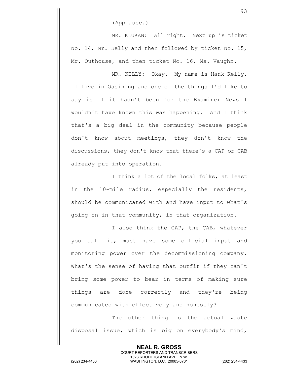(Applause.)

MR. KLUKAN: All right. Next up is ticket No. 14, Mr. Kelly and then followed by ticket No. 15, Mr. Outhouse, and then ticket No. 16, Ms. Vaughn.

MR. KELLY: Okay. My name is Hank Kelly. I live in Ossining and one of the things I'd like to say is if it hadn't been for the Examiner News I wouldn't have known this was happening. And I think that's a big deal in the community because people don't know about meetings, they don't know the discussions, they don't know that there's a CAP or CAB already put into operation.

I think a lot of the local folks, at least in the 10-mile radius, especially the residents, should be communicated with and have input to what's going on in that community, in that organization.

I also think the CAP, the CAB, whatever you call it, must have some official input and monitoring power over the decommissioning company. What's the sense of having that outfit if they can't bring some power to bear in terms of making sure things are done correctly and they're being communicated with effectively and honestly?

The other thing is the actual waste disposal issue, which is big on everybody's mind,

> **NEAL R. GROSS** COURT REPORTERS AND TRANSCRIBERS 1323 RHODE ISLAND AVE., N.W.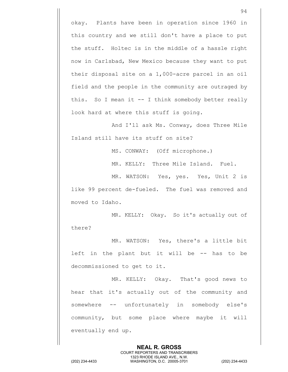okay. Plants have been in operation since 1960 in this country and we still don't have a place to put the stuff. Holtec is in the middle of a hassle right now in Carlsbad, New Mexico because they want to put their disposal site on a 1,000-acre parcel in an oil field and the people in the community are outraged by this. So I mean it -- I think somebody better really look hard at where this stuff is going.

And I'll ask Ms. Conway, does Three Mile Island still have its stuff on site?

MS. CONWAY: (Off microphone.)

MR. KELLY: Three Mile Island. Fuel.

MR. WATSON: Yes, yes. Yes, Unit 2 is like 99 percent de-fueled. The fuel was removed and moved to Idaho.

MR. KELLY: Okay. So it's actually out of there?

MR. WATSON: Yes, there's a little bit left in the plant but it will be -- has to be decommissioned to get to it.

MR. KELLY: Okay. That's good news to hear that it's actually out of the community and somewhere -- unfortunately in somebody else's community, but some place where maybe it will eventually end up.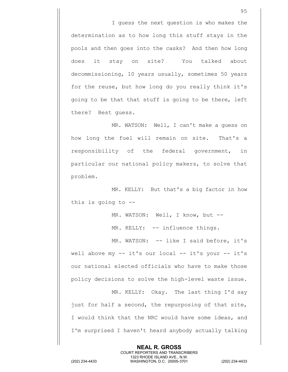I guess the next question is who makes the determination as to how long this stuff stays in the pools and then goes into the casks? And then how long does it stay on site? You talked about decommissioning, 10 years usually, sometimes 50 years for the reuse, but how long do you really think it's going to be that that stuff is going to be there, left there? Best guess.

MR. WATSON: Well, I can't make a guess on how long the fuel will remain on site. That's a responsibility of the federal government, in particular our national policy makers, to solve that problem.

MR. KELLY: But that's a big factor in how this is going to --

MR. WATSON: Well, I know, but --

MR. KELLY: -- influence things.

MR. WATSON: -- like I said before, it's well above my -- it's our local -- it's your -- it's our national elected officials who have to make those policy decisions to solve the high-level waste issue.

MR. KELLY: Okay. The last thing I'd say just for half a second, the repurposing of that site, I would think that the NRC would have some ideas, and I'm surprised I haven't heard anybody actually talking

> **NEAL R. GROSS** COURT REPORTERS AND TRANSCRIBERS 1323 RHODE ISLAND AVE., N.W.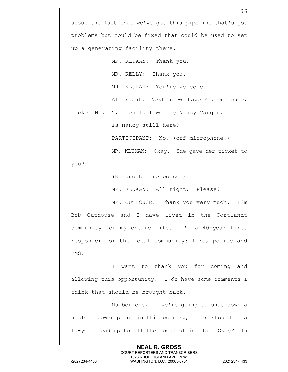about the fact that we've got this pipeline that's got problems but could be fixed that could be used to set up a generating facility there.

MR. KLUKAN: Thank you. MR. KELLY: Thank you. MR. KLUKAN: You're welcome. All right. Next up we have Mr. Outhouse, ticket No. 15, then followed by Nancy Vaughn.

Is Nancy still here?

PARTICIPANT: No, (off microphone.)

MR. KLUKAN: Okay. She gave her ticket to

you?

(No audible response.)

MR. KLUKAN: All right. Please?

MR. OUTHOUSE: Thank you very much. I'm Bob Outhouse and I have lived in the Cortlandt community for my entire life. I'm a 40-year first responder for the local community: fire, police and EMS.

I want to thank you for coming and allowing this opportunity. I do have some comments I think that should be brought back.

Number one, if we're going to shut down a nuclear power plant in this country, there should be a 10-year head up to all the local officials. Okay? In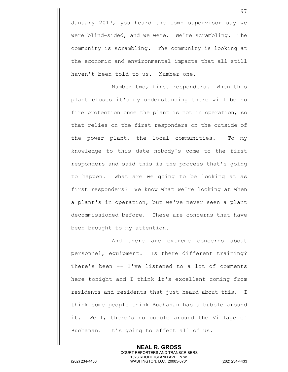January 2017, you heard the town supervisor say we were blind-sided, and we were. We're scrambling. The community is scrambling. The community is looking at the economic and environmental impacts that all still haven't been told to us. Number one.

Number two, first responders. When this plant closes it's my understanding there will be no fire protection once the plant is not in operation, so that relies on the first responders on the outside of the power plant, the local communities. To my knowledge to this date nobody's come to the first responders and said this is the process that's going to happen. What are we going to be looking at as first responders? We know what we're looking at when a plant's in operation, but we've never seen a plant decommissioned before. These are concerns that have been brought to my attention.

And there are extreme concerns about personnel, equipment. Is there different training? There's been -- I've listened to a lot of comments here tonight and I think it's excellent coming from residents and residents that just heard about this. I think some people think Buchanan has a bubble around it. Well, there's no bubble around the Village of Buchanan. It's going to affect all of us.

> **NEAL R. GROSS** COURT REPORTERS AND TRANSCRIBERS

1323 RHODE ISLAND AVE., N.W. (202) 234-4433 WASHINGTON, D.C. 20005-3701 (202) 234-4433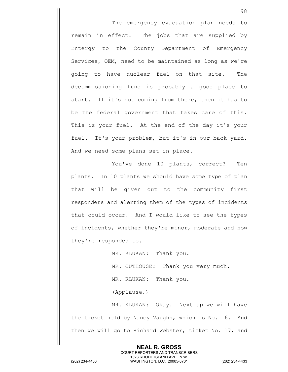The emergency evacuation plan needs to remain in effect. The jobs that are supplied by Entergy to the County Department of Emergency Services, OEM, need to be maintained as long as we're going to have nuclear fuel on that site. The decommissioning fund is probably a good place to start. If it's not coming from there, then it has to be the federal government that takes care of this. This is your fuel. At the end of the day it's your fuel. It's your problem, but it's in our back yard. And we need some plans set in place.

You've done 10 plants, correct? Ten plants. In 10 plants we should have some type of plan that will be given out to the community first responders and alerting them of the types of incidents that could occur. And I would like to see the types of incidents, whether they're minor, moderate and how they're responded to.

> MR. KLUKAN: Thank you. MR. OUTHOUSE: Thank you very much. MR. KLUKAN: Thank you.

(Applause.)

MR. KLUKAN: Okay. Next up we will have the ticket held by Nancy Vaughn, which is No. 16. And then we will go to Richard Webster, ticket No. 17, and

> **NEAL R. GROSS** COURT REPORTERS AND TRANSCRIBERS 1323 RHODE ISLAND AVE., N.W.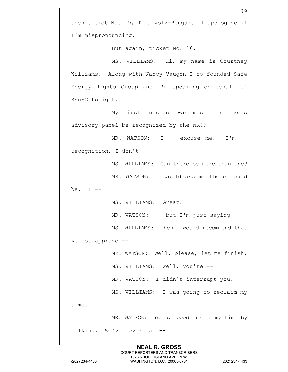then ticket No. 19, Tina Volz-Bongar. I apologize if I'm mispronouncing.

But again, ticket No. 16.

MS. WILLIAMS: Hi, my name is Courtney Williams. Along with Nancy Vaughn I co-founded Safe Energy Rights Group and I'm speaking on behalf of SEnRG tonight.

My first question was must a citizens advisory panel be recognized by the NRC?

MR. WATSON: I -- excuse me. I'm -recognition, I don't --

> MS. WILLIAMS: Can there be more than one? MR. WATSON: I would assume there could

be.  $I$   $-$ 

MS. WILLIAMS: Great.

MR. WATSON: -- but I'm just saying --

MS. WILLIAMS: Then I would recommend that we not approve --

MR. WATSON: Well, please, let me finish.

MS. WILLIAMS: Well, you're --

MR. WATSON: I didn't interrupt you.

MS. WILLIAMS: I was going to reclaim my

time.

MR. WATSON: You stopped during my time by talking. We've never had --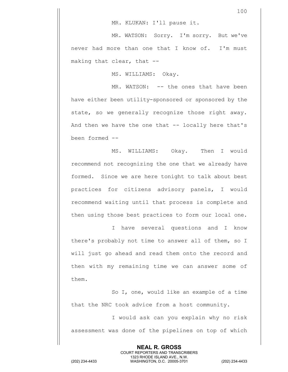MR. KLUKAN: I'll pause it.

MR. WATSON: Sorry. I'm sorry. But we've never had more than one that I know of. I'm must making that clear, that --

MS. WILLIAMS: Okay.

MR. WATSON: -- the ones that have been have either been utility-sponsored or sponsored by the state, so we generally recognize those right away. And then we have the one that -- locally here that's been formed --

MS. WILLIAMS: Okay. Then I would recommend not recognizing the one that we already have formed. Since we are here tonight to talk about best practices for citizens advisory panels, I would recommend waiting until that process is complete and then using those best practices to form our local one.

I have several questions and I know there's probably not time to answer all of them, so I will just go ahead and read them onto the record and then with my remaining time we can answer some of them.

So I, one, would like an example of a time that the NRC took advice from a host community.

I would ask can you explain why no risk assessment was done of the pipelines on top of which

**NEAL R. GROSS** COURT REPORTERS AND TRANSCRIBERS 1323 RHODE ISLAND AVE., N.W. (202) 234-4433 WASHINGTON, D.C. 20005-3701 (202) 234-4433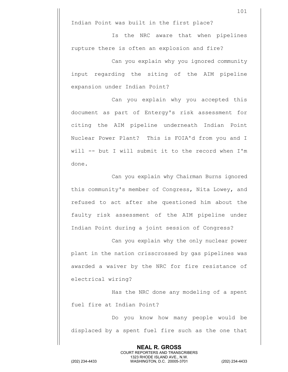Indian Point was built in the first place?

Is the NRC aware that when pipelines rupture there is often an explosion and fire?

Can you explain why you ignored community input regarding the siting of the AIM pipeline expansion under Indian Point?

Can you explain why you accepted this document as part of Entergy's risk assessment for citing the AIM pipeline underneath Indian Point Nuclear Power Plant? This is FOIA'd from you and I will -- but I will submit it to the record when I'm done.

Can you explain why Chairman Burns ignored this community's member of Congress, Nita Lowey, and refused to act after she questioned him about the faulty risk assessment of the AIM pipeline under Indian Point during a joint session of Congress?

Can you explain why the only nuclear power plant in the nation crisscrossed by gas pipelines was awarded a waiver by the NRC for fire resistance of electrical wiring?

Has the NRC done any modeling of a spent fuel fire at Indian Point?

Do you know how many people would be displaced by a spent fuel fire such as the one that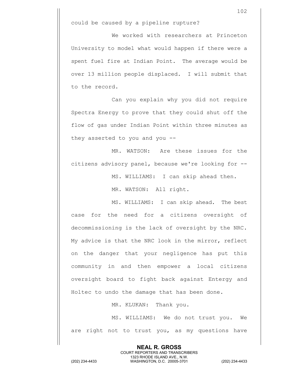We worked with researchers at Princeton University to model what would happen if there were a spent fuel fire at Indian Point. The average would be over 13 million people displaced. I will submit that to the record.

Can you explain why you did not require Spectra Energy to prove that they could shut off the flow of gas under Indian Point within three minutes as they asserted to you and you --

MR. WATSON: Are these issues for the citizens advisory panel, because we're looking for --

MS. WILLIAMS: I can skip ahead then.

MR. WATSON: All right.

MS. WILLIAMS: I can skip ahead. The best case for the need for a citizens oversight of decommissioning is the lack of oversight by the NRC. My advice is that the NRC look in the mirror, reflect on the danger that your negligence has put this community in and then empower a local citizens oversight board to fight back against Entergy and Holtec to undo the damage that has been done.

MR. KLUKAN: Thank you.

MS. WILLIAMS: We do not trust you. We are right not to trust you, as my questions have

> **NEAL R. GROSS** COURT REPORTERS AND TRANSCRIBERS 1323 RHODE ISLAND AVE., N.W.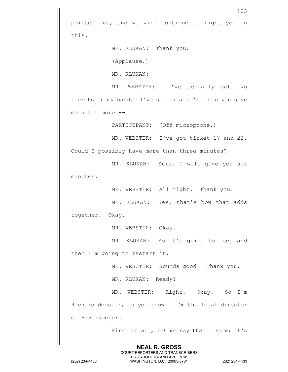103 pointed out, and we will continue to fight you on this. MR. KLUKAN: Thank you. (Applause.) MR. KLUKAN: MR. WEBSTER: I've actually got two tickets in my hand. I've got 17 and 22. Can you give me a bit more -- PARTICIPANT: (Off microphone.) MR. WEBSTER: I've got ticket 17 and 22. Could I possibly have more than three minutes? MR. KLUKAN: Sure, I will give you six minutes. MR. WEBSTER: All right. Thank you. MR. KLUKAN: Yes, that's how that adds together. Okay. MR. WEBSTER: Okay. MR. KLUKAN: So it's going to beep and then I'm going to restart it. MR. WEBSTER: Sounds good. Thank you. MR. KLUKAN: Ready? MR. WEBSTER: Right. Okay. So I'm Richard Webster, as you know. I'm the legal director of Riverkeeper. First of all, let me say that I know; it's

> **NEAL R. GROSS** COURT REPORTERS AND TRANSCRIBERS 1323 RHODE ISLAND AVE., N.W.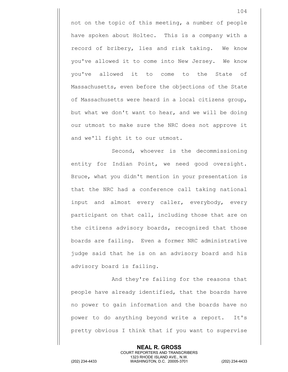not on the topic of this meeting, a number of people have spoken about Holtec. This is a company with a record of bribery, lies and risk taking. We know you've allowed it to come into New Jersey. We know you've allowed it to come to the State of Massachusetts, even before the objections of the State of Massachusetts were heard in a local citizens group, but what we don't want to hear, and we will be doing our utmost to make sure the NRC does not approve it and we'll fight it to our utmost.

Second, whoever is the decommissioning entity for Indian Point, we need good oversight. Bruce, what you didn't mention in your presentation is that the NRC had a conference call taking national input and almost every caller, everybody, every participant on that call, including those that are on the citizens advisory boards, recognized that those boards are failing. Even a former NRC administrative judge said that he is on an advisory board and his advisory board is failing.

And they're failing for the reasons that people have already identified, that the boards have no power to gain information and the boards have no power to do anything beyond write a report. It's pretty obvious I think that if you want to supervise

> **NEAL R. GROSS** COURT REPORTERS AND TRANSCRIBERS 1323 RHODE ISLAND AVE., N.W.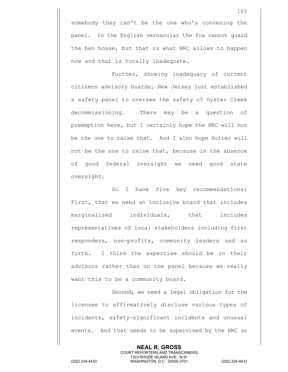somebody they can't be the one who's convening the panel. In the English vernacular the fox cannot guard the hen house, but that is what NRC allows to happen now and that is totally inadequate.

Further, showing inadequacy of current citizens advisory boards, New Jersey just established a safety panel to oversee the safety of Oyster Creek decommissioning. There may be a question of preemption here, but I certainly hope the NRC will not be the one to raise that. And I also hope Holtec will not be the one to raise that, because in the absence of good federal oversight we need good state oversight.

So I have five key recommendations: First, that we need an inclusive board that includes marginalized individuals, that includes representatives of local stakeholders including first responders, non-profits, community leaders and so forth. I think the expertise should be in their advisors rather than on the panel because we really want this to be a community board.

Second, we need a legal obligation for the licensee to affirmatively disclose various types of incidents, safety-significant incidents and unusual events. And that needs to be supervised by the NRC so

> **NEAL R. GROSS** COURT REPORTERS AND TRANSCRIBERS 1323 RHODE ISLAND AVE., N.W.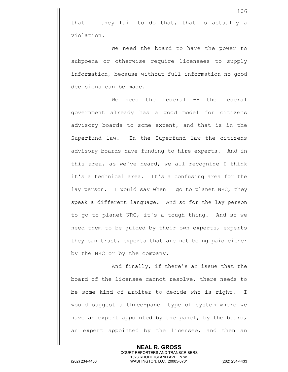that if they fail to do that, that is actually a violation.

We need the board to have the power to subpoena or otherwise require licensees to supply information, because without full information no good decisions can be made.

We need the federal -- the federal government already has a good model for citizens advisory boards to some extent, and that is in the Superfund law. In the Superfund law the citizens advisory boards have funding to hire experts. And in this area, as we've heard, we all recognize I think it's a technical area. It's a confusing area for the lay person. I would say when I go to planet NRC, they speak a different language. And so for the lay person to go to planet NRC, it's a tough thing. And so we need them to be guided by their own experts, experts they can trust, experts that are not being paid either by the NRC or by the company.

And finally, if there's an issue that the board of the licensee cannot resolve, there needs to be some kind of arbiter to decide who is right. I would suggest a three-panel type of system where we have an expert appointed by the panel, by the board, an expert appointed by the licensee, and then an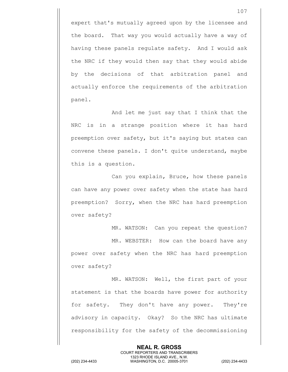expert that's mutually agreed upon by the licensee and the board. That way you would actually have a way of having these panels regulate safety. And I would ask the NRC if they would then say that they would abide by the decisions of that arbitration panel and actually enforce the requirements of the arbitration panel.

And let me just say that I think that the NRC is in a strange position where it has hard preemption over safety, but it's saying but states can convene these panels. I don't quite understand, maybe this is a question.

Can you explain, Bruce, how these panels can have any power over safety when the state has hard preemption? Sorry, when the NRC has hard preemption over safety?

MR. WATSON: Can you repeat the question? MR. WEBSTER: How can the board have any power over safety when the NRC has hard preemption over safety?

MR. WATSON: Well, the first part of your statement is that the boards have power for authority for safety. They don't have any power. They're advisory in capacity. Okay? So the NRC has ultimate responsibility for the safety of the decommissioning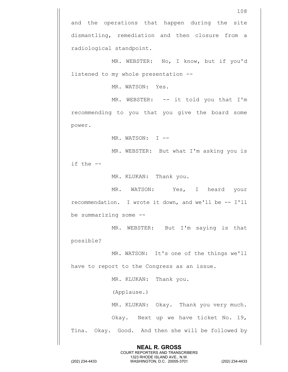and the operations that happen during the site dismantling, remediation and then closure from a radiological standpoint.

MR. WEBSTER: No, I know, but if you'd listened to my whole presentation --

MR. WATSON: Yes.

MR. WEBSTER: -- it told you that I'm recommending to you that you give the board some power.

MR. WATSON: I --

MR. WEBSTER: But what I'm asking you is if the --

MR. KLUKAN: Thank you.

MR. WATSON: Yes, I heard your recommendation. I wrote it down, and we'll be -- I'll be summarizing some --

MR. WEBSTER: But I'm saying is that possible?

MR. WATSON: It's one of the things we'll have to report to the Congress as an issue.

MR. KLUKAN: Thank you.

(Applause.)

MR. KLUKAN: Okay. Thank you very much.

Okay. Next up we have ticket No. 19,

Tina. Okay. Good. And then she will be followed by

**NEAL R. GROSS** COURT REPORTERS AND TRANSCRIBERS 1323 RHODE ISLAND AVE., N.W.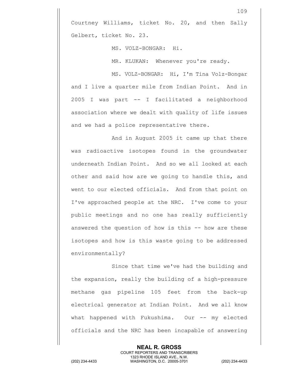Courtney Williams, ticket No. 20, and then Sally Gelbert, ticket No. 23.

MS. VOLZ-BONGAR: Hi.

MR. KLUKAN: Whenever you're ready.

MS. VOLZ-BONGAR: Hi, I'm Tina Volz-Bongar and I live a quarter mile from Indian Point. And in 2005 I was part -- I facilitated a neighborhood association where we dealt with quality of life issues and we had a police representative there.

And in August 2005 it came up that there was radioactive isotopes found in the groundwater underneath Indian Point. And so we all looked at each other and said how are we going to handle this, and went to our elected officials. And from that point on I've approached people at the NRC. I've come to your public meetings and no one has really sufficiently answered the question of how is this -- how are these isotopes and how is this waste going to be addressed environmentally?

Since that time we've had the building and the expansion, really the building of a high-pressure methane gas pipeline 105 feet from the back-up electrical generator at Indian Point. And we all know what happened with Fukushima. Our -- my elected officials and the NRC has been incapable of answering

> **NEAL R. GROSS** COURT REPORTERS AND TRANSCRIBERS 1323 RHODE ISLAND AVE., N.W.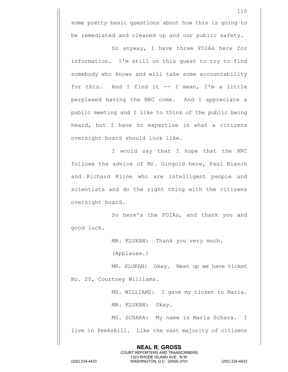some pretty basic questions about how this is going to be remediated and cleaned up and our public safety.

So anyway, I have three FOIAs here for information. I'm still on this quest to try to find somebody who knows and will take some accountability for this. And I find it -- I mean, I'm a little perplexed having the NRC come. And I appreciate a public meeting and I like to think of the public being heard, but I have no expertise in what a citizens oversight board should look like.

I would say that I hope that the NRC follows the advice of Mr. Gingold here, Paul Blanch and Richard Kline who are intelligent people and scientists and do the right thing with the citizens oversight board.

So here's the FOIAs, and thank you and good luck.

MR. KLUKAN: Thank you very much.

(Applause.)

MR. KLUKAN: Okay. Next up we have ticket No. 20, Courtney Williams.

MS. WILLIAMS: I gave my ticket to Maria.

MR. KLUKAN: Okay.

MS. SCHARA: My name is Maria Schara. I live in Peekskill. Like the vast majority of citizens

**NEAL R. GROSS**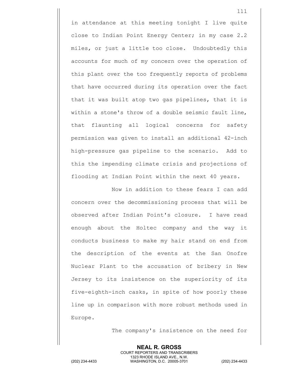in attendance at this meeting tonight I live quite close to Indian Point Energy Center; in my case 2.2 miles, or just a little too close. Undoubtedly this accounts for much of my concern over the operation of this plant over the too frequently reports of problems that have occurred during its operation over the fact that it was built atop two gas pipelines, that it is within a stone's throw of a double seismic fault line, that flaunting all logical concerns for safety permission was given to install an additional 42-inch high-pressure gas pipeline to the scenario. Add to this the impending climate crisis and projections of flooding at Indian Point within the next 40 years.

Now in addition to these fears I can add concern over the decommissioning process that will be observed after Indian Point's closure. I have read enough about the Holtec company and the way it conducts business to make my hair stand on end from the description of the events at the San Onofre Nuclear Plant to the accusation of bribery in New Jersey to its insistence on the superiority of its five-eighth-inch casks, in spite of how poorly these line up in comparison with more robust methods used in Europe.

> **NEAL R. GROSS** COURT REPORTERS AND TRANSCRIBERS 1323 RHODE ISLAND AVE., N.W.

The company's insistence on the need for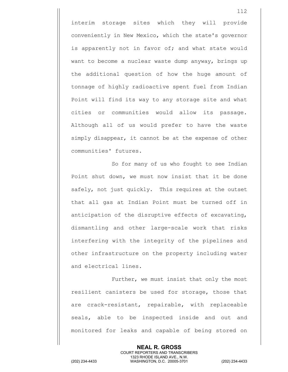interim storage sites which they will provide conveniently in New Mexico, which the state's governor is apparently not in favor of; and what state would want to become a nuclear waste dump anyway, brings up the additional question of how the huge amount of tonnage of highly radioactive spent fuel from Indian Point will find its way to any storage site and what cities or communities would allow its passage. Although all of us would prefer to have the waste simply disappear, it cannot be at the expense of other communities' futures.

So for many of us who fought to see Indian Point shut down, we must now insist that it be done safely, not just quickly. This requires at the outset that all gas at Indian Point must be turned off in anticipation of the disruptive effects of excavating, dismantling and other large-scale work that risks interfering with the integrity of the pipelines and other infrastructure on the property including water and electrical lines.

Further, we must insist that only the most resilient canisters be used for storage, those that are crack-resistant, repairable, with replaceable seals, able to be inspected inside and out and monitored for leaks and capable of being stored on

> **NEAL R. GROSS** COURT REPORTERS AND TRANSCRIBERS 1323 RHODE ISLAND AVE., N.W.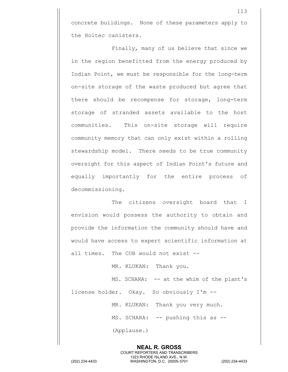concrete buildings. None of these parameters apply to the Holtec canisters.

Finally, many of us believe that since we in the region benefitted from the energy produced by Indian Point, we must be responsible for the long-term on-site storage of the waste produced but agree that there should be recompense for storage, long-term storage of stranded assets available to the host communities. This on-site storage will require community memory that can only exist within a rolling stewardship model. There needs to be true community oversight for this aspect of Indian Point's future and equally importantly for the entire process of decommissioning.

The citizens oversight board that I envision would possess the authority to obtain and provide the information the community should have and would have access to expert scientific information at all times. The COB would not exist --

MR. KLUKAN: Thank you.

MS. SCHARA: -- at the whim of the plant's

license holder. Okay. So obviously I'm --

MR. KLUKAN: Thank you very much.

MS. SCHARA: -- pushing this as --

**NEAL R. GROSS** COURT REPORTERS AND TRANSCRIBERS 1323 RHODE ISLAND AVE., N.W.

(Applause.)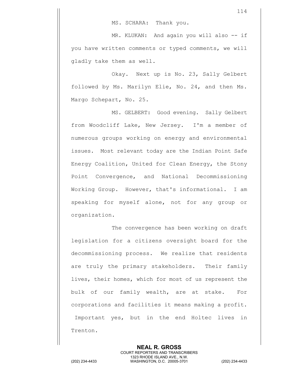MR. KLUKAN: And again you will also -- if you have written comments or typed comments, we will gladly take them as well.

Okay. Next up is No. 23, Sally Gelbert followed by Ms. Marilyn Elie, No. 24, and then Ms. Margo Schepart, No. 25.

MS. GELBERT: Good evening. Sally Gelbert from Woodcliff Lake, New Jersey. I'm a member of numerous groups working on energy and environmental issues. Most relevant today are the Indian Point Safe Energy Coalition, United for Clean Energy, the Stony Point Convergence, and National Decommissioning Working Group. However, that's informational. I am speaking for myself alone, not for any group or organization.

The convergence has been working on draft legislation for a citizens oversight board for the decommissioning process. We realize that residents are truly the primary stakeholders. Their family lives, their homes, which for most of us represent the bulk of our family wealth, are at stake. For corporations and facilities it means making a profit. Important yes, but in the end Holtec lives in Trenton.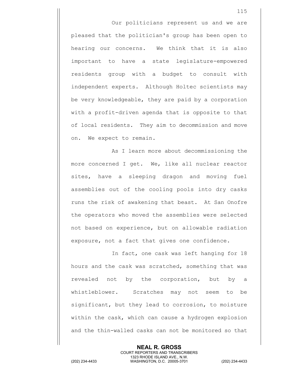Our politicians represent us and we are pleased that the politician's group has been open to hearing our concerns. We think that it is also important to have a state legislature-empowered residents group with a budget to consult with independent experts. Although Holtec scientists may be very knowledgeable, they are paid by a corporation with a profit-driven agenda that is opposite to that of local residents. They aim to decommission and move on. We expect to remain.

As I learn more about decommissioning the more concerned I get. We, like all nuclear reactor sites, have a sleeping dragon and moving fuel assemblies out of the cooling pools into dry casks runs the risk of awakening that beast. At San Onofre the operators who moved the assemblies were selected not based on experience, but on allowable radiation exposure, not a fact that gives one confidence.

In fact, one cask was left hanging for 18 hours and the cask was scratched, something that was revealed not by the corporation, but by a whistleblower. Scratches may not seem to be significant, but they lead to corrosion, to moisture within the cask, which can cause a hydrogen explosion and the thin-walled casks can not be monitored so that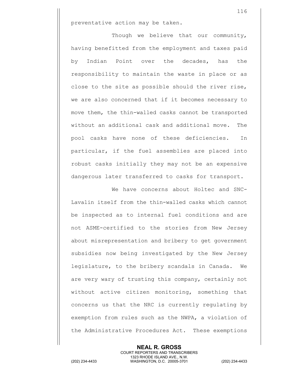preventative action may be taken.

Though we believe that our community, having benefitted from the employment and taxes paid by Indian Point over the decades, has the responsibility to maintain the waste in place or as close to the site as possible should the river rise, we are also concerned that if it becomes necessary to move them, the thin-walled casks cannot be transported without an additional cask and additional move. The pool casks have none of these deficiencies. In particular, if the fuel assemblies are placed into robust casks initially they may not be an expensive dangerous later transferred to casks for transport.

We have concerns about Holtec and SNC-Lavalin itself from the thin-walled casks which cannot be inspected as to internal fuel conditions and are not ASME-certified to the stories from New Jersey about misrepresentation and bribery to get government subsidies now being investigated by the New Jersey legislature, to the bribery scandals in Canada. We are very wary of trusting this company, certainly not without active citizen monitoring, something that concerns us that the NRC is currently regulating by exemption from rules such as the NWPA, a violation of the Administrative Procedures Act. These exemptions

**NEAL R. GROSS**

COURT REPORTERS AND TRANSCRIBERS 1323 RHODE ISLAND AVE., N.W. (202) 234-4433 WASHINGTON, D.C. 20005-3701 (202) 234-4433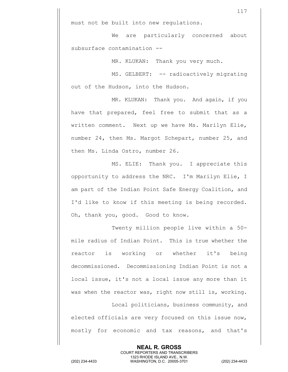must not be built into new regulations.

We are particularly concerned about subsurface contamination --

MR. KLUKAN: Thank you very much.

MS. GELBERT: -- radioactively migrating out of the Hudson, into the Hudson.

MR. KLUKAN: Thank you. And again, if you have that prepared, feel free to submit that as a written comment. Next up we have Ms. Marilyn Elie, number 24, then Ms. Margot Schepart, number 25, and then Ms. Linda Ostro, number 26.

MS. ELIE: Thank you. I appreciate this opportunity to address the NRC. I'm Marilyn Elie, I am part of the Indian Point Safe Energy Coalition, and I'd like to know if this meeting is being recorded. Oh, thank you, good. Good to know.

Twenty million people live within a 50 mile radius of Indian Point. This is true whether the reactor is working or whether it's being decommissioned. Decommissioning Indian Point is not a local issue, it's not a local issue any more than it was when the reactor was, right now still is, working.

Local politicians, business community, and elected officials are very focused on this issue now, mostly for economic and tax reasons, and that's

> **NEAL R. GROSS** COURT REPORTERS AND TRANSCRIBERS 1323 RHODE ISLAND AVE., N.W.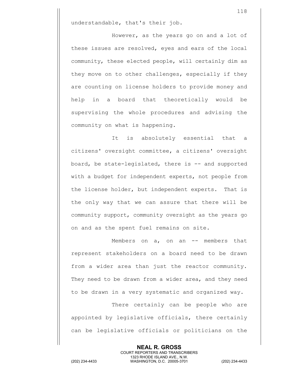understandable, that's their job.

However, as the years go on and a lot of these issues are resolved, eyes and ears of the local community, these elected people, will certainly dim as they move on to other challenges, especially if they are counting on license holders to provide money and help in a board that theoretically would be supervising the whole procedures and advising the community on what is happening.

It is absolutely essential that a citizens' oversight committee, a citizens' oversight board, be state-legislated, there is -- and supported with a budget for independent experts, not people from the license holder, but independent experts. That is the only way that we can assure that there will be community support, community oversight as the years go on and as the spent fuel remains on site.

Members on a, on an -- members that represent stakeholders on a board need to be drawn from a wider area than just the reactor community. They need to be drawn from a wider area, and they need to be drawn in a very systematic and organized way.

There certainly can be people who are appointed by legislative officials, there certainly can be legislative officials or politicians on the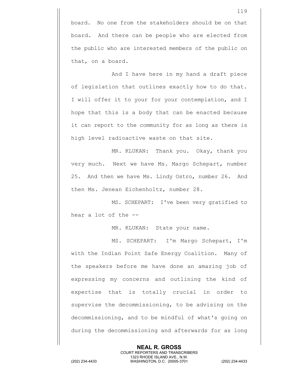board. No one from the stakeholders should be on that board. And there can be people who are elected from the public who are interested members of the public on that, on a board.

And I have here in my hand a draft piece of legislation that outlines exactly how to do that. I will offer it to your for your contemplation, and I hope that this is a body that can be enacted because it can report to the community for as long as there is high level radioactive waste on that site.

MR. KLUKAN: Thank you. Okay, thank you very much. Next we have Ms. Margo Schepart, number 25. And then we have Ms. Lindy Ostro, number 26. And then Ms. Jenean Eichenholtz, number 28.

MS. SCHEPART: I've been very gratified to hear a lot of the --

MR. KLUKAN: State your name.

MS. SCHEPART: I'm Margo Schepart, I'm with the Indian Point Safe Energy Coalition. Many of the speakers before me have done an amazing job of expressing my concerns and outlining the kind of expertise that is totally crucial in order to supervise the decommissioning, to be advising on the decommissioning, and to be mindful of what's going on during the decommissioning and afterwards for as long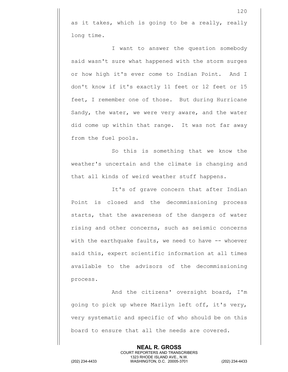as it takes, which is going to be a really, really long time.

I want to answer the question somebody said wasn't sure what happened with the storm surges or how high it's ever come to Indian Point. And I don't know if it's exactly 11 feet or 12 feet or 15 feet, I remember one of those. But during Hurricane Sandy, the water, we were very aware, and the water did come up within that range. It was not far away from the fuel pools.

So this is something that we know the weather's uncertain and the climate is changing and that all kinds of weird weather stuff happens.

It's of grave concern that after Indian Point is closed and the decommissioning process starts, that the awareness of the dangers of water rising and other concerns, such as seismic concerns with the earthquake faults, we need to have -- whoever said this, expert scientific information at all times available to the advisors of the decommissioning process.

And the citizens' oversight board, I'm going to pick up where Marilyn left off, it's very, very systematic and specific of who should be on this board to ensure that all the needs are covered.

> **NEAL R. GROSS** COURT REPORTERS AND TRANSCRIBERS

1323 RHODE ISLAND AVE., N.W. (202) 234-4433 WASHINGTON, D.C. 20005-3701 (202) 234-4433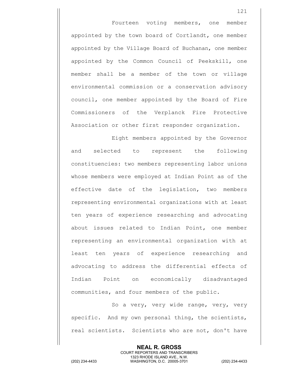Fourteen voting members, one member appointed by the town board of Cortlandt, one member appointed by the Village Board of Buchanan, one member appointed by the Common Council of Peekskill, one member shall be a member of the town or village environmental commission or a conservation advisory council, one member appointed by the Board of Fire Commissioners of the Verplanck Fire Protective Association or other first responder organization.

Eight members appointed by the Governor and selected to represent the following constituencies: two members representing labor unions whose members were employed at Indian Point as of the effective date of the legislation, two members representing environmental organizations with at least ten years of experience researching and advocating about issues related to Indian Point, one member representing an environmental organization with at least ten years of experience researching and advocating to address the differential effects of Indian Point on economically disadvantaged communities, and four members of the public.

So a very, very wide range, very, very specific. And my own personal thing, the scientists, real scientists. Scientists who are not, don't have

> **NEAL R. GROSS** COURT REPORTERS AND TRANSCRIBERS 1323 RHODE ISLAND AVE., N.W.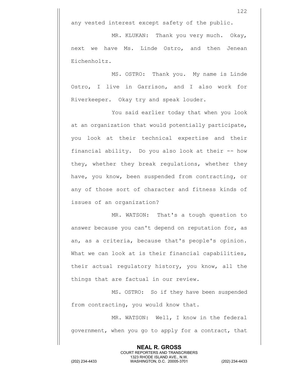any vested interest except safety of the public.

MR. KLUKAN: Thank you very much. Okay, next we have Ms. Linde Ostro, and then Jenean Eichenholtz.

MS. OSTRO: Thank you. My name is Linde Ostro, I live in Garrison, and I also work for Riverkeeper. Okay try and speak louder.

You said earlier today that when you look at an organization that would potentially participate, you look at their technical expertise and their financial ability. Do you also look at their -- how they, whether they break regulations, whether they have, you know, been suspended from contracting, or any of those sort of character and fitness kinds of issues of an organization?

MR. WATSON: That's a tough question to answer because you can't depend on reputation for, as an, as a criteria, because that's people's opinion. What we can look at is their financial capabilities, their actual regulatory history, you know, all the things that are factual in our review.

MS. OSTRO: So if they have been suspended from contracting, you would know that.

MR. WATSON: Well, I know in the federal government, when you go to apply for a contract, that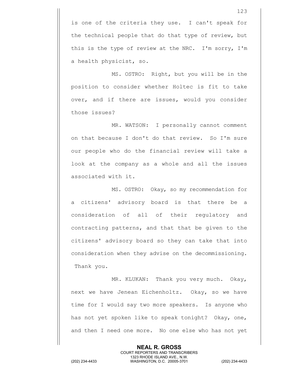is one of the criteria they use. I can't speak for the technical people that do that type of review, but this is the type of review at the NRC. I'm sorry, I'm a health physicist, so.

MS. OSTRO: Right, but you will be in the position to consider whether Holtec is fit to take over, and if there are issues, would you consider those issues?

MR. WATSON: I personally cannot comment on that because I don't do that review. So I'm sure our people who do the financial review will take a look at the company as a whole and all the issues associated with it.

MS. OSTRO: Okay, so my recommendation for a citizens' advisory board is that there be a consideration of all of their regulatory and contracting patterns, and that that be given to the citizens' advisory board so they can take that into consideration when they advise on the decommissioning. Thank you.

MR. KLUKAN: Thank you very much. Okay, next we have Jenean Eichenholtz. Okay, so we have time for I would say two more speakers. Is anyone who has not yet spoken like to speak tonight? Okay, one, and then I need one more. No one else who has not yet

> **NEAL R. GROSS** COURT REPORTERS AND TRANSCRIBERS 1323 RHODE ISLAND AVE., N.W.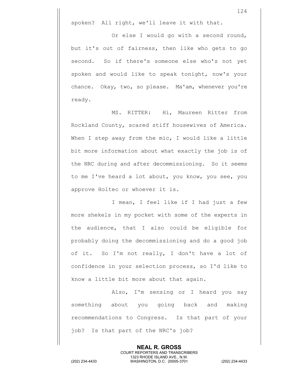spoken? All right, we'll leave it with that.

Or else I would go with a second round, but it's out of fairness, then like who gets to go second. So if there's someone else who's not yet spoken and would like to speak tonight, now's your chance. Okay, two, so please. Ma'am, whenever you're ready.

MS. RITTER: Hi, Maureen Ritter from Rockland County, scared stiff housewives of America. When I step away from the mic, I would like a little bit more information about what exactly the job is of the NRC during and after decommissioning. So it seems to me I've heard a lot about, you know, you see, you approve Holtec or whoever it is.

I mean, I feel like if I had just a few more shekels in my pocket with some of the experts in the audience, that I also could be eligible for probably doing the decommissioning and do a good job of it. So I'm not really, I don't have a lot of confidence in your selection process, so I'd like to know a little bit more about that again.

Also, I'm sensing or I heard you say something about you going back and making recommendations to Congress. Is that part of your job? Is that part of the NRC's job?

> **NEAL R. GROSS** COURT REPORTERS AND TRANSCRIBERS 1323 RHODE ISLAND AVE., N.W.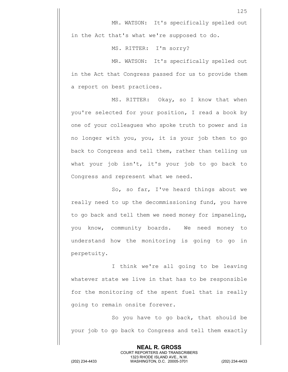MR. WATSON: It's specifically spelled out in the Act that's what we're supposed to do.

MS. RITTER: I'm sorry?

MR. WATSON: It's specifically spelled out in the Act that Congress passed for us to provide them a report on best practices.

MS. RITTER: Okay, so I know that when you're selected for your position, I read a book by one of your colleagues who spoke truth to power and is no longer with you, you, it is your job then to go back to Congress and tell them, rather than telling us what your job isn't, it's your job to go back to Congress and represent what we need.

So, so far, I've heard things about we really need to up the decommissioning fund, you have to go back and tell them we need money for impaneling, you know, community boards. We need money to understand how the monitoring is going to go in perpetuity.

I think we're all going to be leaving whatever state we live in that has to be responsible for the monitoring of the spent fuel that is really going to remain onsite forever.

So you have to go back, that should be your job to go back to Congress and tell them exactly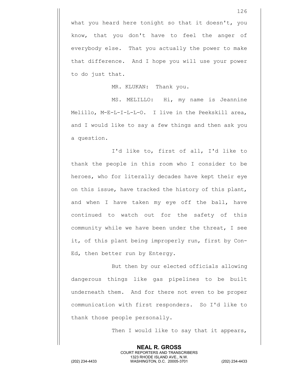everybody else. That you actually the power to make that difference. And I hope you will use your power to do just that.

MR. KLUKAN: Thank you.

MS. MELILLO: Hi, my name is Jeannine Melillo, M-E-L-I-L-L-O. I live in the Peekskill area, and I would like to say a few things and then ask you a question.

I'd like to, first of all, I'd like to thank the people in this room who I consider to be heroes, who for literally decades have kept their eye on this issue, have tracked the history of this plant, and when I have taken my eye off the ball, have continued to watch out for the safety of this community while we have been under the threat, I see it, of this plant being improperly run, first by Con-Ed, then better run by Entergy.

But then by our elected officials allowing dangerous things like gas pipelines to be built underneath them. And for there not even to be proper communication with first responders. So I'd like to thank those people personally.

Then I would like to say that it appears,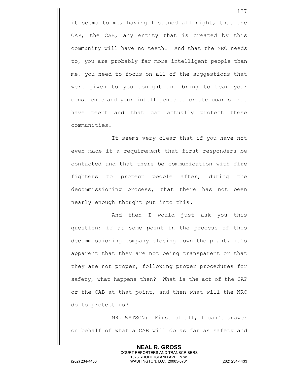it seems to me, having listened all night, that the CAP, the CAB, any entity that is created by this community will have no teeth. And that the NRC needs to, you are probably far more intelligent people than me, you need to focus on all of the suggestions that were given to you tonight and bring to bear your conscience and your intelligence to create boards that have teeth and that can actually protect these communities.

It seems very clear that if you have not even made it a requirement that first responders be contacted and that there be communication with fire fighters to protect people after, during the decommissioning process, that there has not been nearly enough thought put into this.

And then I would just ask you this question: if at some point in the process of this decommissioning company closing down the plant, it's apparent that they are not being transparent or that they are not proper, following proper procedures for safety, what happens then? What is the act of the CAP or the CAB at that point, and then what will the NRC do to protect us?

MR. WATSON: First of all, I can't answer on behalf of what a CAB will do as far as safety and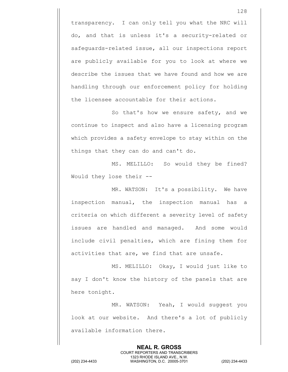transparency. I can only tell you what the NRC will do, and that is unless it's a security-related or safeguards-related issue, all our inspections report are publicly available for you to look at where we describe the issues that we have found and how we are handling through our enforcement policy for holding the licensee accountable for their actions.

So that's how we ensure safety, and we continue to inspect and also have a licensing program which provides a safety envelope to stay within on the things that they can do and can't do.

MS. MELILLO: So would they be fined? Would they lose their --

MR. WATSON: It's a possibility. We have inspection manual, the inspection manual has a criteria on which different a severity level of safety issues are handled and managed. And some would include civil penalties, which are fining them for activities that are, we find that are unsafe.

MS. MELILLO: Okay, I would just like to say I don't know the history of the panels that are here tonight.

MR. WATSON: Yeah, I would suggest you look at our website. And there's a lot of publicly available information there.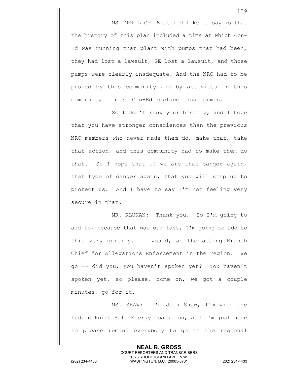MS. MELILLO: What I'd like to say is that the history of this plan included a time at which Con-Ed was running that plant with pumps that had been, they had lost a lawsuit, GE lost a lawsuit, and those pumps were clearly inadequate. And the NRC had to be pushed by this community and by activists in this community to make Con-Ed replace those pumps.

So I don't know your history, and I hope that you have stronger consciences than the previous NRC members who never made them do, make that, take that action, and this community had to make them do that. So I hope that if we are that danger again, that type of danger again, that you will step up to protect us. And I have to say I'm not feeling very secure in that.

MR. KLUKAN: Thank you. So I'm going to add to, because that was our last, I'm going to add to this very quickly. I would, as the acting Branch Chief for Allegations Enforcement in the region. We go -- did you, you haven't spoken yet? You haven't spoken yet, so please, come on, we got a couple minutes, go for it.

MS. SHAW: I'm Jean Shaw, I'm with the Indian Point Safe Energy Coalition, and I'm just here to please remind everybody to go to the regional

> **NEAL R. GROSS** COURT REPORTERS AND TRANSCRIBERS 1323 RHODE ISLAND AVE., N.W.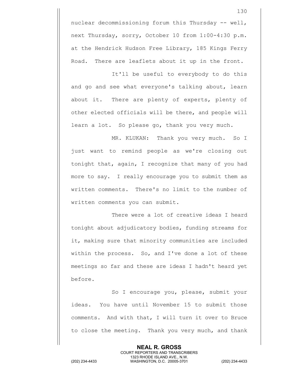nuclear decommissioning forum this Thursday -- well, next Thursday, sorry, October 10 from 1:00-4:30 p.m. at the Hendrick Hudson Free Library, 185 Kings Ferry Road. There are leaflets about it up in the front.

It'll be useful to everybody to do this and go and see what everyone's talking about, learn about it. There are plenty of experts, plenty of other elected officials will be there, and people will learn a lot. So please go, thank you very much.

MR. KLUKAN: Thank you very much. So I just want to remind people as we're closing out tonight that, again, I recognize that many of you had more to say. I really encourage you to submit them as written comments. There's no limit to the number of written comments you can submit.

There were a lot of creative ideas I heard tonight about adjudicatory bodies, funding streams for it, making sure that minority communities are included within the process. So, and I've done a lot of these meetings so far and these are ideas I hadn't heard yet before.

So I encourage you, please, submit your ideas. You have until November 15 to submit those comments. And with that, I will turn it over to Bruce to close the meeting. Thank you very much, and thank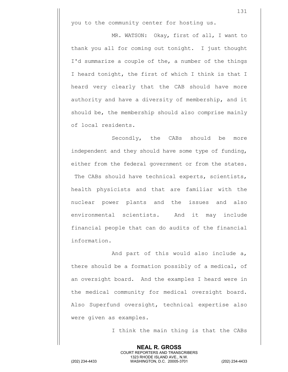you to the community center for hosting us.

MR. WATSON: Okay, first of all, I want to thank you all for coming out tonight. I just thought I'd summarize a couple of the, a number of the things I heard tonight, the first of which I think is that I heard very clearly that the CAB should have more authority and have a diversity of membership, and it should be, the membership should also comprise mainly of local residents.

Secondly, the CABs should be more independent and they should have some type of funding, either from the federal government or from the states. The CABs should have technical experts, scientists, health physicists and that are familiar with the nuclear power plants and the issues and also environmental scientists. And it may include financial people that can do audits of the financial information.

And part of this would also include a, there should be a formation possibly of a medical, of an oversight board. And the examples I heard were in the medical community for medical oversight board. Also Superfund oversight, technical expertise also were given as examples.

> **NEAL R. GROSS** COURT REPORTERS AND TRANSCRIBERS 1323 RHODE ISLAND AVE., N.W.

I think the main thing is that the CABs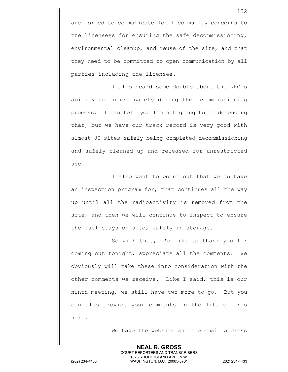are formed to communicate local community concerns to the licensees for ensuring the safe decommissioning, environmental cleanup, and reuse of the site, and that they need to be committed to open communication by all parties including the licensee.

I also heard some doubts about the NRC's ability to ensure safety during the decommissioning process. I can tell you I'm not going to be defending that, but we have our track record is very good with almost 80 sites safely being completed decommissioning and safely cleaned up and released for unrestricted use.

I also want to point out that we do have an inspection program for, that continues all the way up until all the radioactivity is removed from the site, and then we will continue to inspect to ensure the fuel stays on site, safely in storage.

So with that, I'd like to thank you for coming out tonight, appreciate all the comments. We obviously will take these into consideration with the other comments we receive. Like I said, this is our ninth meeting, we still have two more to go. But you can also provide your comments on the little cards here.

> **NEAL R. GROSS** COURT REPORTERS AND TRANSCRIBERS 1323 RHODE ISLAND AVE., N.W.

We have the website and the email address